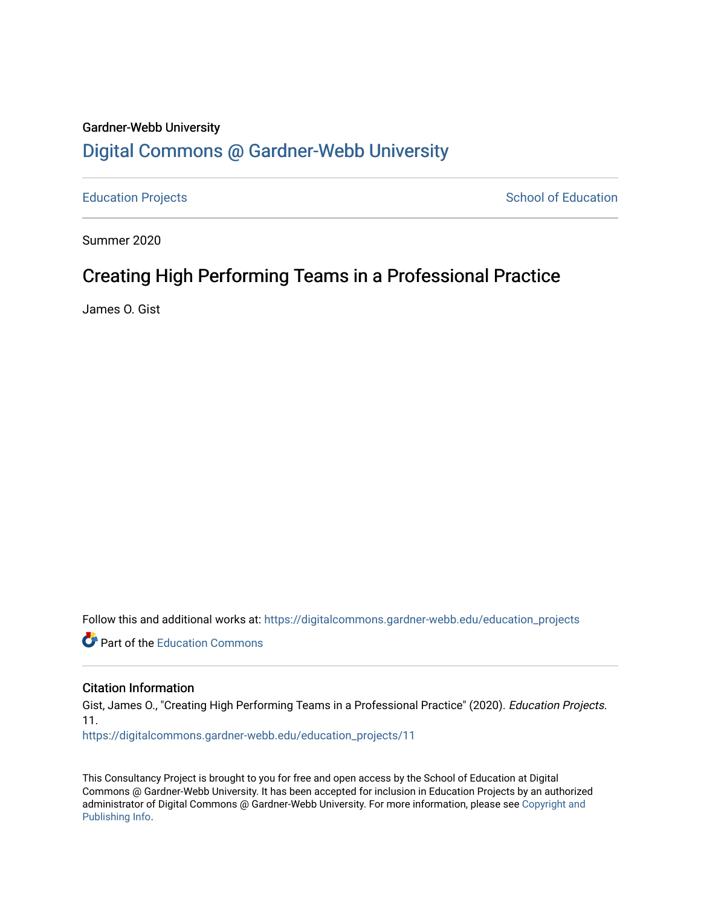## Gardner-Webb University [Digital Commons @ Gardner-Webb University](https://digitalcommons.gardner-webb.edu/)

[Education Projects](https://digitalcommons.gardner-webb.edu/education_projects) **School of Education** School of Education

Summer 2020

## Creating High Performing Teams in a Professional Practice

James O. Gist

Follow this and additional works at: [https://digitalcommons.gardner-webb.edu/education\\_projects](https://digitalcommons.gardner-webb.edu/education_projects?utm_source=digitalcommons.gardner-webb.edu%2Feducation_projects%2F11&utm_medium=PDF&utm_campaign=PDFCoverPages) 

**C** Part of the [Education Commons](http://network.bepress.com/hgg/discipline/784?utm_source=digitalcommons.gardner-webb.edu%2Feducation_projects%2F11&utm_medium=PDF&utm_campaign=PDFCoverPages)

#### Citation Information

Gist, James O., "Creating High Performing Teams in a Professional Practice" (2020). Education Projects. 11.

[https://digitalcommons.gardner-webb.edu/education\\_projects/11](https://digitalcommons.gardner-webb.edu/education_projects/11?utm_source=digitalcommons.gardner-webb.edu%2Feducation_projects%2F11&utm_medium=PDF&utm_campaign=PDFCoverPages)

This Consultancy Project is brought to you for free and open access by the School of Education at Digital Commons @ Gardner-Webb University. It has been accepted for inclusion in Education Projects by an authorized administrator of Digital Commons @ Gardner-Webb University. For more information, please see [Copyright and](https://digitalcommons.gardner-webb.edu/copyright_publishing.html)  [Publishing Info.](https://digitalcommons.gardner-webb.edu/copyright_publishing.html)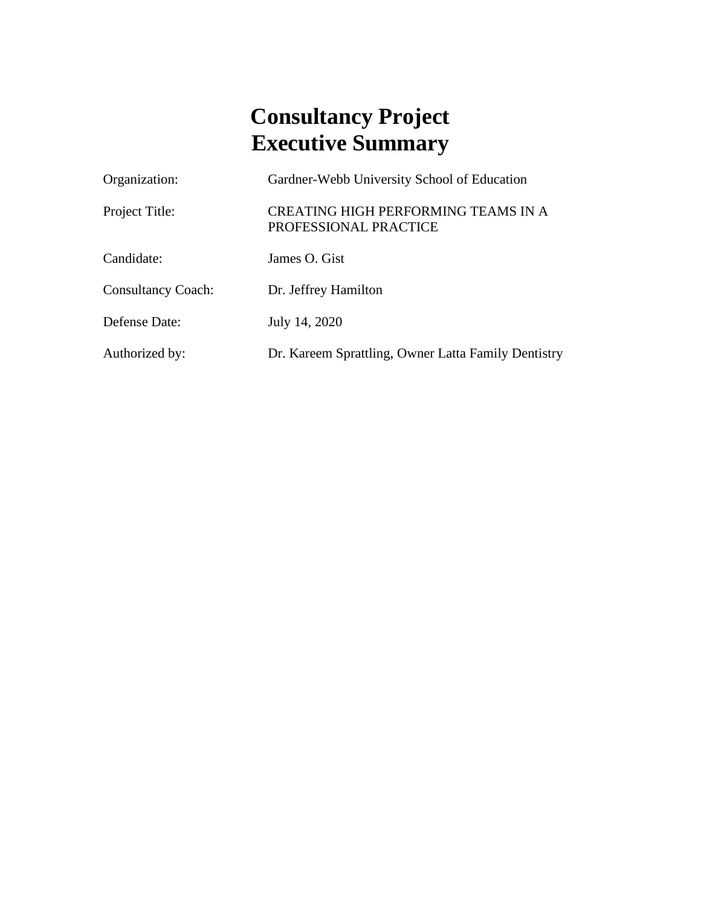## **Consultancy Project Executive Summary**

| Organization:             | Gardner-Webb University School of Education                         |
|---------------------------|---------------------------------------------------------------------|
| Project Title:            | <b>CREATING HIGH PERFORMING TEAMS IN A</b><br>PROFESSIONAL PRACTICE |
| Candidate:                | James O. Gist                                                       |
| <b>Consultancy Coach:</b> | Dr. Jeffrey Hamilton                                                |
| Defense Date:             | July 14, 2020                                                       |
| Authorized by:            | Dr. Kareem Sprattling, Owner Latta Family Dentistry                 |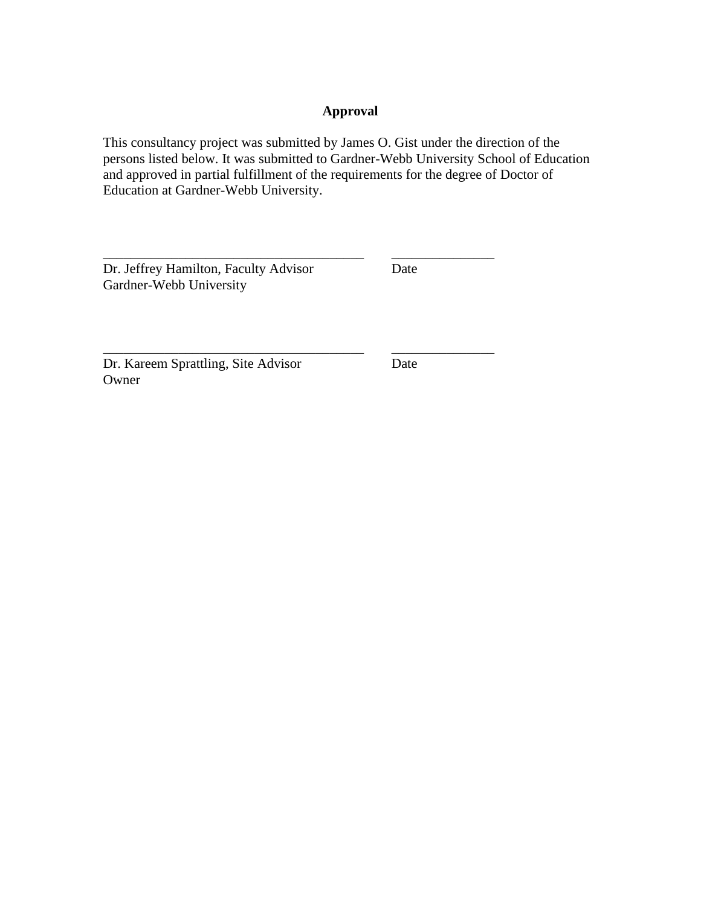#### **Approval**

This consultancy project was submitted by James O. Gist under the direction of the persons listed below. It was submitted to Gardner-Webb University School of Education and approved in partial fulfillment of the requirements for the degree of Doctor of Education at Gardner-Webb University.

\_\_\_\_\_\_\_\_\_\_\_\_\_\_\_\_\_\_\_\_\_\_\_\_\_\_\_\_\_\_\_\_\_\_\_\_\_\_ \_\_\_\_\_\_\_\_\_\_\_\_\_\_\_

Dr. Jeffrey Hamilton, Faculty Advisor Date Gardner-Webb University

Dr. Kareem Sprattling, Site Advisor Date Owner

\_\_\_\_\_\_\_\_\_\_\_\_\_\_\_\_\_\_\_\_\_\_\_\_\_\_\_\_\_\_\_\_\_\_\_\_\_\_ \_\_\_\_\_\_\_\_\_\_\_\_\_\_\_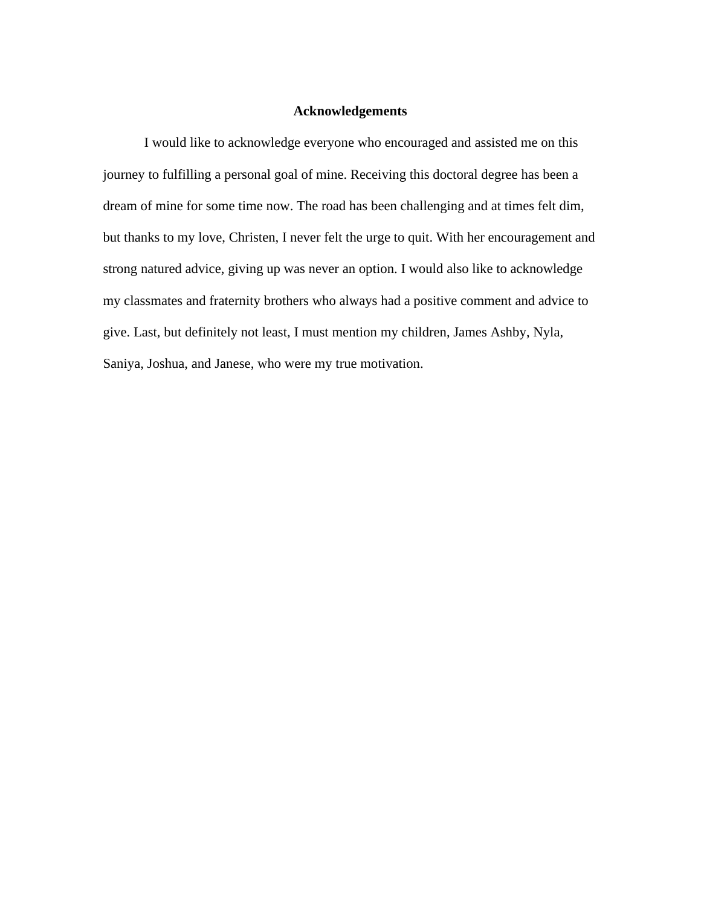#### **Acknowledgements**

I would like to acknowledge everyone who encouraged and assisted me on this journey to fulfilling a personal goal of mine. Receiving this doctoral degree has been a dream of mine for some time now. The road has been challenging and at times felt dim, but thanks to my love, Christen, I never felt the urge to quit. With her encouragement and strong natured advice, giving up was never an option. I would also like to acknowledge my classmates and fraternity brothers who always had a positive comment and advice to give. Last, but definitely not least, I must mention my children, James Ashby, Nyla, Saniya, Joshua, and Janese, who were my true motivation.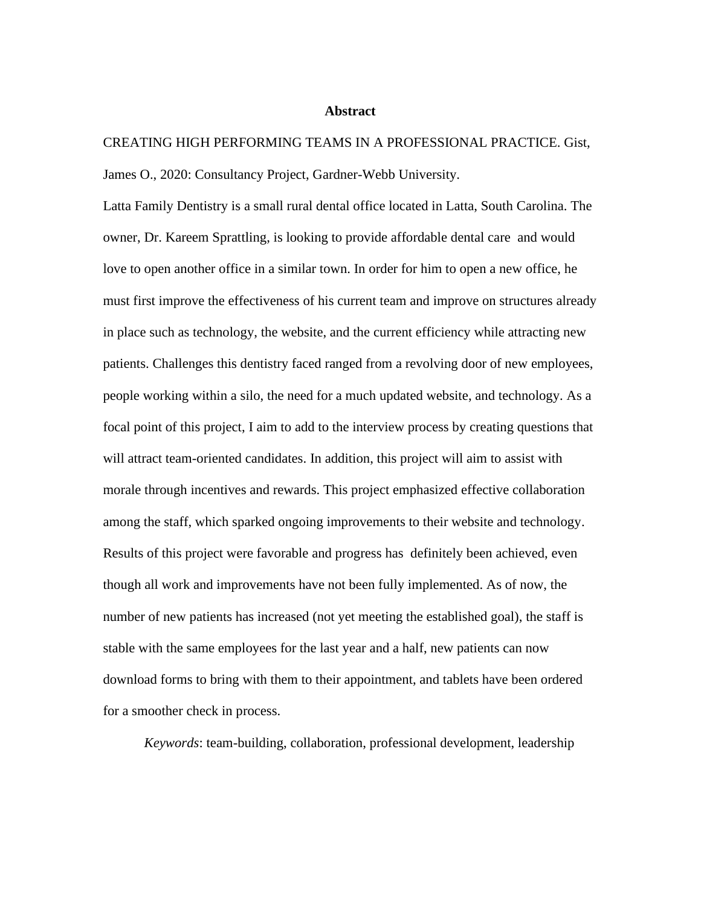#### **Abstract**

CREATING HIGH PERFORMING TEAMS IN A PROFESSIONAL PRACTICE. Gist, James O., 2020: Consultancy Project, Gardner-Webb University.

Latta Family Dentistry is a small rural dental office located in Latta, South Carolina. The owner, Dr. Kareem Sprattling, is looking to provide affordable dental care and would love to open another office in a similar town. In order for him to open a new office, he must first improve the effectiveness of his current team and improve on structures already in place such as technology, the website, and the current efficiency while attracting new patients. Challenges this dentistry faced ranged from a revolving door of new employees, people working within a silo, the need for a much updated website, and technology. As a focal point of this project, I aim to add to the interview process by creating questions that will attract team-oriented candidates. In addition, this project will aim to assist with morale through incentives and rewards. This project emphasized effective collaboration among the staff, which sparked ongoing improvements to their website and technology. Results of this project were favorable and progress has definitely been achieved, even though all work and improvements have not been fully implemented. As of now, the number of new patients has increased (not yet meeting the established goal), the staff is stable with the same employees for the last year and a half, new patients can now download forms to bring with them to their appointment, and tablets have been ordered for a smoother check in process.

*Keywords*: team-building, collaboration, professional development, leadership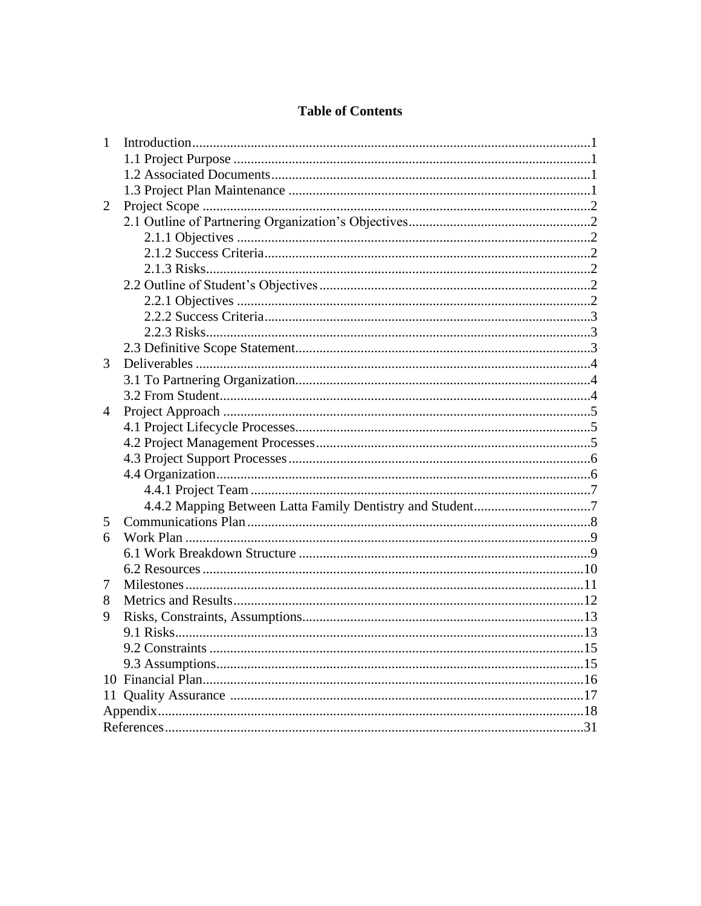#### **Table of Contents**

| 1              |  |
|----------------|--|
|                |  |
|                |  |
|                |  |
| 2              |  |
|                |  |
|                |  |
|                |  |
|                |  |
|                |  |
|                |  |
|                |  |
|                |  |
|                |  |
| 3              |  |
|                |  |
|                |  |
| $\overline{4}$ |  |
|                |  |
|                |  |
|                |  |
|                |  |
|                |  |
|                |  |
| 5              |  |
| 6              |  |
|                |  |
|                |  |
| 7              |  |
| 8              |  |
| 9              |  |
|                |  |
|                |  |
|                |  |
|                |  |
|                |  |
|                |  |
|                |  |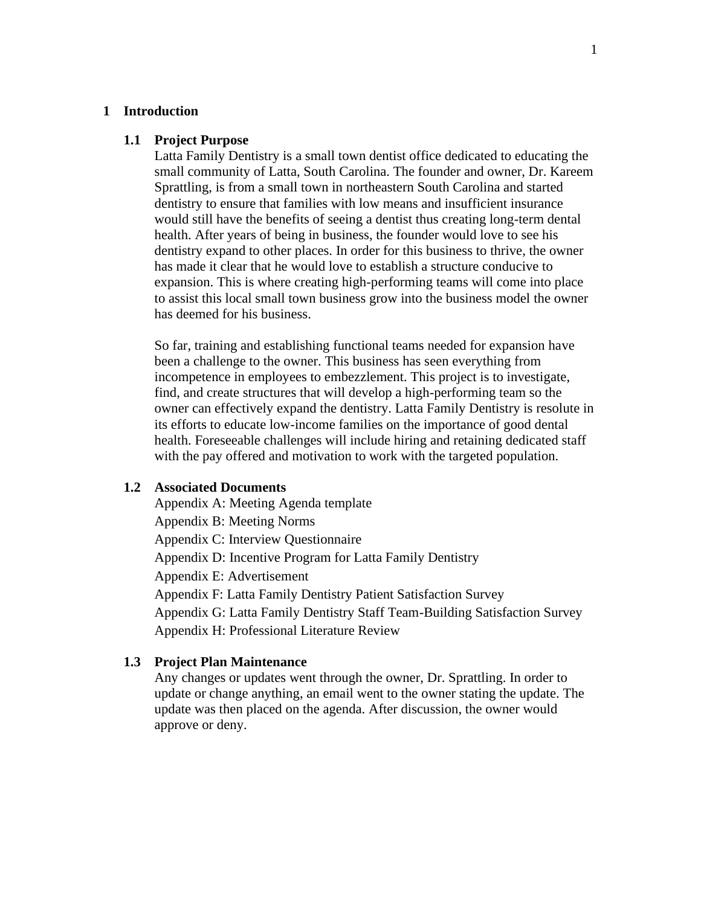#### **1 Introduction**

#### **1.1 Project Purpose**

Latta Family Dentistry is a small town dentist office dedicated to educating the small community of Latta, South Carolina. The founder and owner, Dr. Kareem Sprattling, is from a small town in northeastern South Carolina and started dentistry to ensure that families with low means and insufficient insurance would still have the benefits of seeing a dentist thus creating long-term dental health. After years of being in business, the founder would love to see his dentistry expand to other places. In order for this business to thrive, the owner has made it clear that he would love to establish a structure conducive to expansion. This is where creating high-performing teams will come into place to assist this local small town business grow into the business model the owner has deemed for his business.

So far, training and establishing functional teams needed for expansion have been a challenge to the owner. This business has seen everything from incompetence in employees to embezzlement. This project is to investigate, find, and create structures that will develop a high-performing team so the owner can effectively expand the dentistry. Latta Family Dentistry is resolute in its efforts to educate low-income families on the importance of good dental health. Foreseeable challenges will include hiring and retaining dedicated staff with the pay offered and motivation to work with the targeted population.

#### **1.2 Associated Documents**

Appendix A: Meeting Agenda template Appendix B: Meeting Norms Appendix C: Interview Questionnaire Appendix D: Incentive Program for Latta Family Dentistry Appendix E: Advertisement Appendix F: Latta Family Dentistry Patient Satisfaction Survey Appendix G: Latta Family Dentistry Staff Team-Building Satisfaction Survey Appendix H: Professional Literature Review

#### **1.3 Project Plan Maintenance**

Any changes or updates went through the owner, Dr. Sprattling. In order to update or change anything, an email went to the owner stating the update. The update was then placed on the agenda. After discussion, the owner would approve or deny.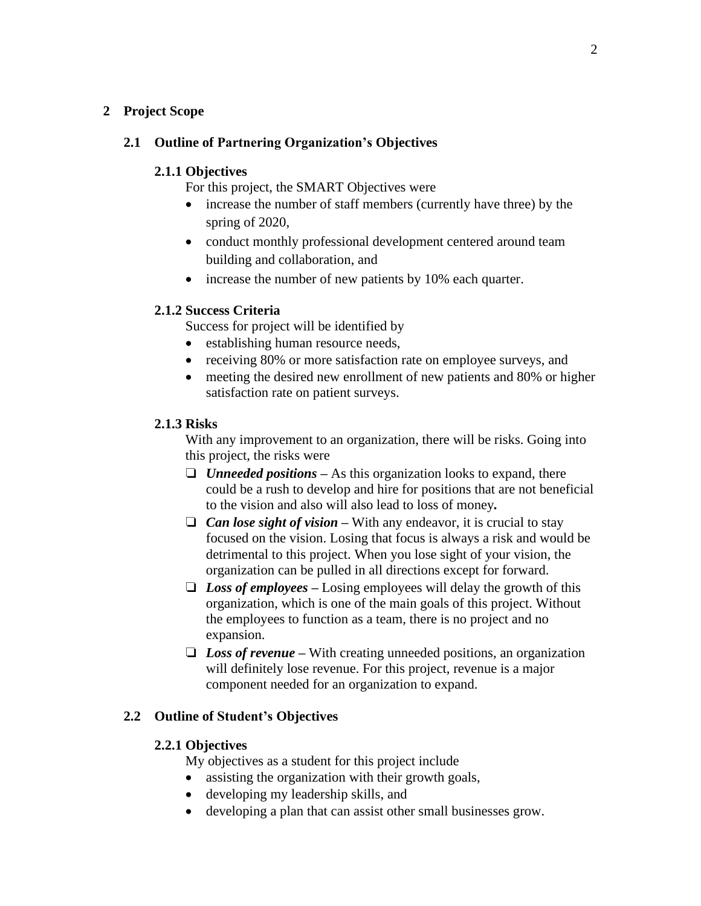#### **2 Project Scope**

#### **2.1 Outline of Partnering Organization's Objectives**

#### **2.1.1 Objectives**

For this project, the SMART Objectives were

- increase the number of staff members (currently have three) by the spring of 2020,
- conduct monthly professional development centered around team building and collaboration, and
- increase the number of new patients by 10% each quarter.

#### **2.1.2 Success Criteria**

Success for project will be identified by

- establishing human resource needs,
- receiving 80% or more satisfaction rate on employee surveys, and
- meeting the desired new enrollment of new patients and 80% or higher satisfaction rate on patient surveys.

#### **2.1.3 Risks**

With any improvement to an organization, there will be risks. Going into this project, the risks were

- ❏ *Unneeded positions –* As this organization looks to expand, there could be a rush to develop and hire for positions that are not beneficial to the vision and also will also lead to loss of money*.*
- ❏ *Can lose sight of vision –* With any endeavor, it is crucial to stay focused on the vision. Losing that focus is always a risk and would be detrimental to this project. When you lose sight of your vision, the organization can be pulled in all directions except for forward.
- ❏ *Loss of employees –* Losing employees will delay the growth of this organization, which is one of the main goals of this project. Without the employees to function as a team, there is no project and no expansion.
- ❏ *Loss of revenue* **–** With creating unneeded positions, an organization will definitely lose revenue. For this project, revenue is a major component needed for an organization to expand.

#### **2.2 Outline of Student's Objectives**

#### **2.2.1 Objectives**

My objectives as a student for this project include

- assisting the organization with their growth goals,
- developing my leadership skills, and
- developing a plan that can assist other small businesses grow.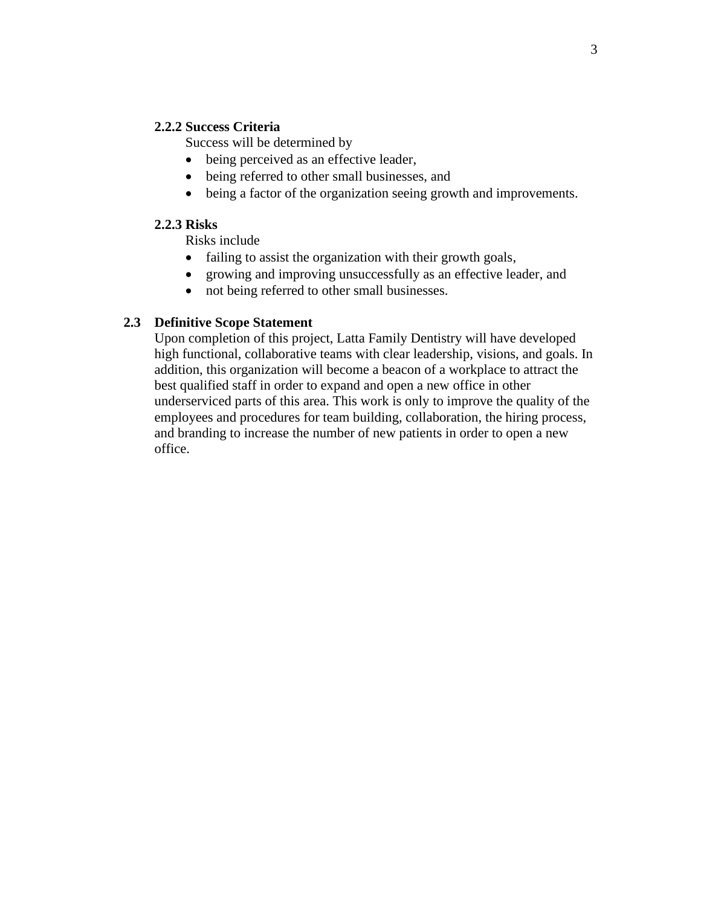#### **2.2.2 Success Criteria**

Success will be determined by

- being perceived as an effective leader,
- being referred to other small businesses, and
- being a factor of the organization seeing growth and improvements.

#### **2.2.3 Risks**

Risks include

- failing to assist the organization with their growth goals,
- growing and improving unsuccessfully as an effective leader, and
- not being referred to other small businesses.

#### **2.3 Definitive Scope Statement**

Upon completion of this project, Latta Family Dentistry will have developed high functional, collaborative teams with clear leadership, visions, and goals. In addition, this organization will become a beacon of a workplace to attract the best qualified staff in order to expand and open a new office in other underserviced parts of this area. This work is only to improve the quality of the employees and procedures for team building, collaboration, the hiring process, and branding to increase the number of new patients in order to open a new office.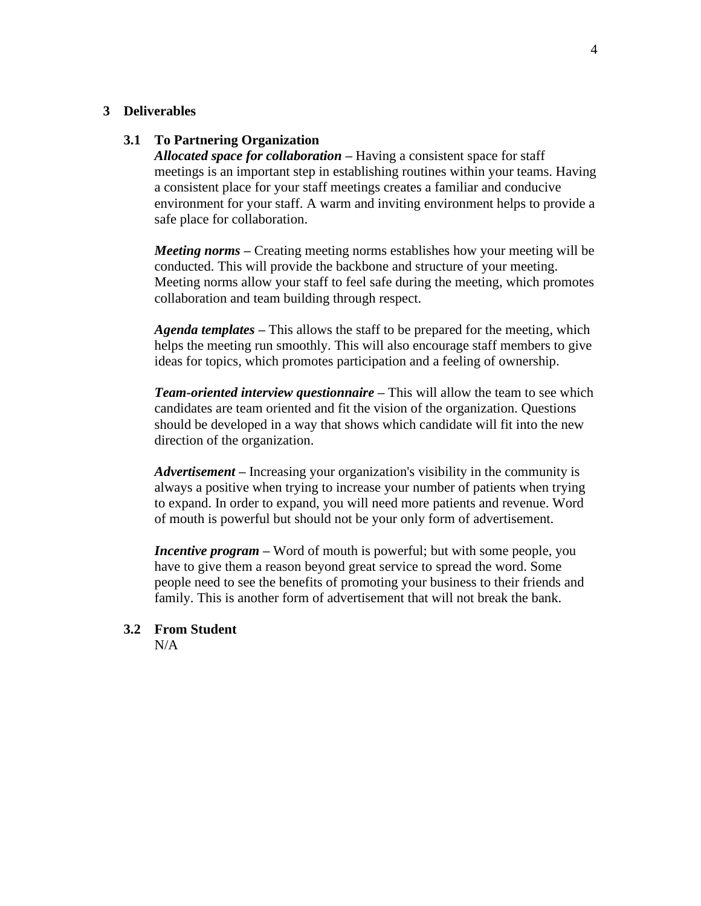#### **3 Deliverables**

#### **3.1 To Partnering Organization**

*Allocated space for collaboration –* Having a consistent space for staff meetings is an important step in establishing routines within your teams. Having a consistent place for your staff meetings creates a familiar and conducive environment for your staff. A warm and inviting environment helps to provide a safe place for collaboration.

*Meeting norms –* Creating meeting norms establishes how your meeting will be conducted. This will provide the backbone and structure of your meeting. Meeting norms allow your staff to feel safe during the meeting, which promotes collaboration and team building through respect.

*Agenda templates –* This allows the staff to be prepared for the meeting, which helps the meeting run smoothly. This will also encourage staff members to give ideas for topics, which promotes participation and a feeling of ownership.

*Team-oriented interview questionnaire –* This will allow the team to see which candidates are team oriented and fit the vision of the organization. Questions should be developed in a way that shows which candidate will fit into the new direction of the organization.

*Advertisement –* Increasing your organization's visibility in the community is always a positive when trying to increase your number of patients when trying to expand. In order to expand, you will need more patients and revenue. Word of mouth is powerful but should not be your only form of advertisement.

*Incentive program* **–** Word of mouth is powerful; but with some people, you have to give them a reason beyond great service to spread the word. Some people need to see the benefits of promoting your business to their friends and family. This is another form of advertisement that will not break the bank.

#### **3.2 From Student**

 $N/A$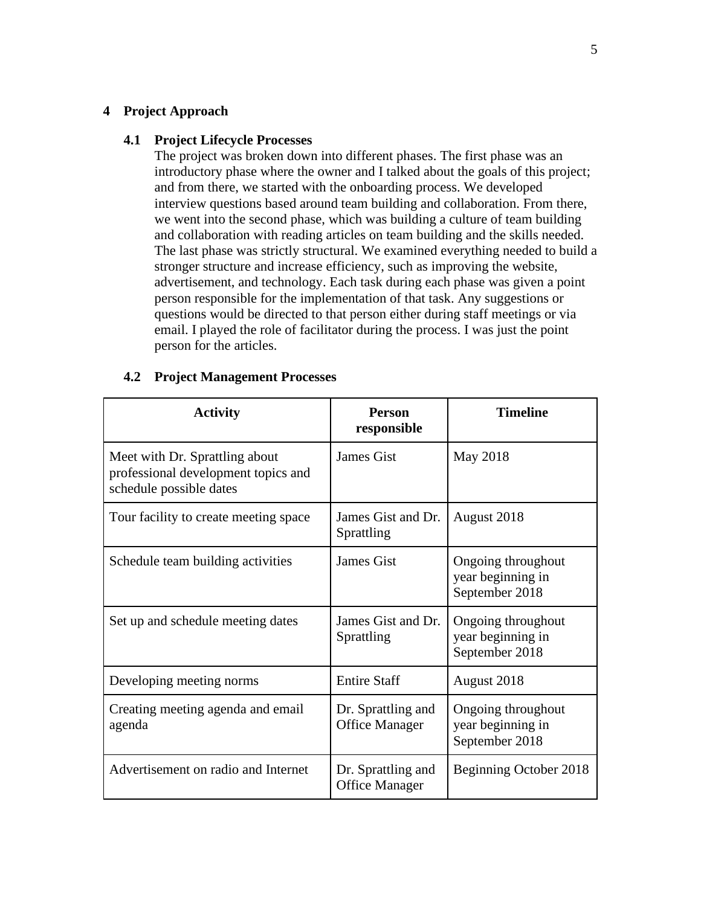#### **4 Project Approach**

#### **4.1 Project Lifecycle Processes**

The project was broken down into different phases. The first phase was an introductory phase where the owner and I talked about the goals of this project; and from there, we started with the onboarding process. We developed interview questions based around team building and collaboration. From there, we went into the second phase, which was building a culture of team building and collaboration with reading articles on team building and the skills needed. The last phase was strictly structural. We examined everything needed to build a stronger structure and increase efficiency, such as improving the website, advertisement, and technology. Each task during each phase was given a point person responsible for the implementation of that task. Any suggestions or questions would be directed to that person either during staff meetings or via email. I played the role of facilitator during the process. I was just the point person for the articles.

#### **4.2 Project Management Processes**

| <b>Activity</b>                                                                                  | <b>Person</b><br>responsible                | <b>Timeline</b>                                           |
|--------------------------------------------------------------------------------------------------|---------------------------------------------|-----------------------------------------------------------|
| Meet with Dr. Sprattling about<br>professional development topics and<br>schedule possible dates | <b>James Gist</b>                           | May 2018                                                  |
| Tour facility to create meeting space                                                            | James Gist and Dr.<br>Sprattling            | August 2018                                               |
| Schedule team building activities                                                                | <b>James Gist</b>                           | Ongoing throughout<br>year beginning in<br>September 2018 |
| Set up and schedule meeting dates                                                                | James Gist and Dr.<br>Sprattling            | Ongoing throughout<br>year beginning in<br>September 2018 |
| Developing meeting norms                                                                         | <b>Entire Staff</b>                         | August 2018                                               |
| Creating meeting agenda and email<br>agenda                                                      | Dr. Sprattling and<br><b>Office Manager</b> | Ongoing throughout<br>year beginning in<br>September 2018 |
| Advertisement on radio and Internet                                                              | Dr. Sprattling and<br><b>Office Manager</b> | Beginning October 2018                                    |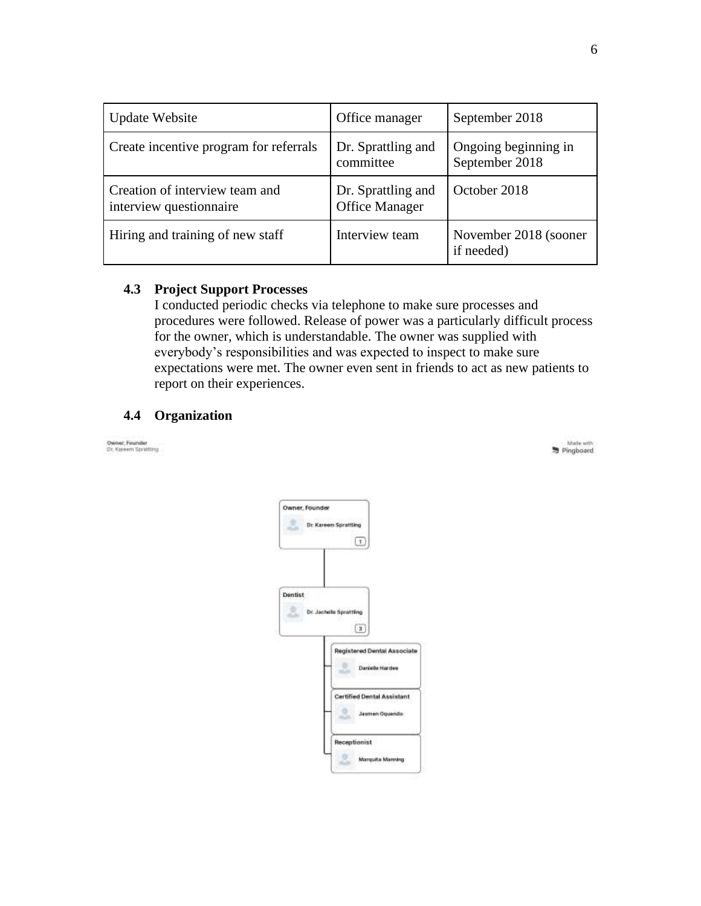| <b>Update Website</b>                                     | Office manager                              | September 2018                         |
|-----------------------------------------------------------|---------------------------------------------|----------------------------------------|
| Create incentive program for referrals                    | Dr. Sprattling and<br>committee             | Ongoing beginning in<br>September 2018 |
| Creation of interview team and<br>interview questionnaire | Dr. Sprattling and<br><b>Office Manager</b> | October 2018                           |
| Hiring and training of new staff                          | Interview team                              | November 2018 (sooner<br>if needed)    |

#### **4.3 Project Support Processes**

I conducted periodic checks via telephone to make sure processes and procedures were followed. Release of power was a particularly difficult process for the owner, which is understandable. The owner was supplied with everybody's responsibilities and was expected to inspect to make sure expectations were met. The owner even sent in friends to act as new patients to report on their experiences.

#### **4.4 Organization**

Dwiser, Founder<br>Dr. Kereem Sprattling

| Owner, Founder | <b>Dr. Kareem Sprattling</b><br>$\lfloor$ 1                                                     |
|----------------|-------------------------------------------------------------------------------------------------|
| Dentist        | <b>Dr. Jachelle Sprattling</b><br>$\boxed{3}$<br>Registered Dental Associate<br>Danielle Hardes |
|                | Certified Dental Assistant<br>Jasmen Oquendo                                                    |
|                | Receptionist<br>Marquita Manning                                                                |

Made with<br>Pingboard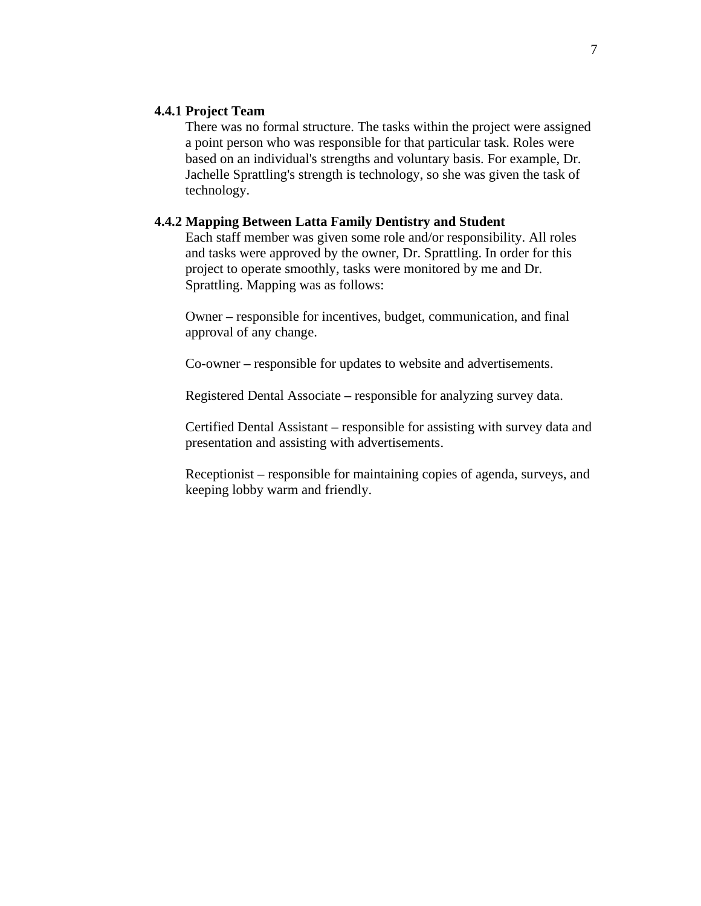#### **4.4.1 Project Team**

There was no formal structure. The tasks within the project were assigned a point person who was responsible for that particular task. Roles were based on an individual's strengths and voluntary basis. For example, Dr. Jachelle Sprattling's strength is technology, so she was given the task of technology.

#### **4.4.2 Mapping Between Latta Family Dentistry and Student**

Each staff member was given some role and/or responsibility. All roles and tasks were approved by the owner, Dr. Sprattling. In order for this project to operate smoothly, tasks were monitored by me and Dr. Sprattling. Mapping was as follows:

Owner *–* responsible for incentives, budget, communication, and final approval of any change.

Co-owner *–* responsible for updates to website and advertisements.

Registered Dental Associate *–* responsible for analyzing survey data.

Certified Dental Assistant *–* responsible for assisting with survey data and presentation and assisting with advertisements.

Receptionist *–* responsible for maintaining copies of agenda, surveys, and keeping lobby warm and friendly.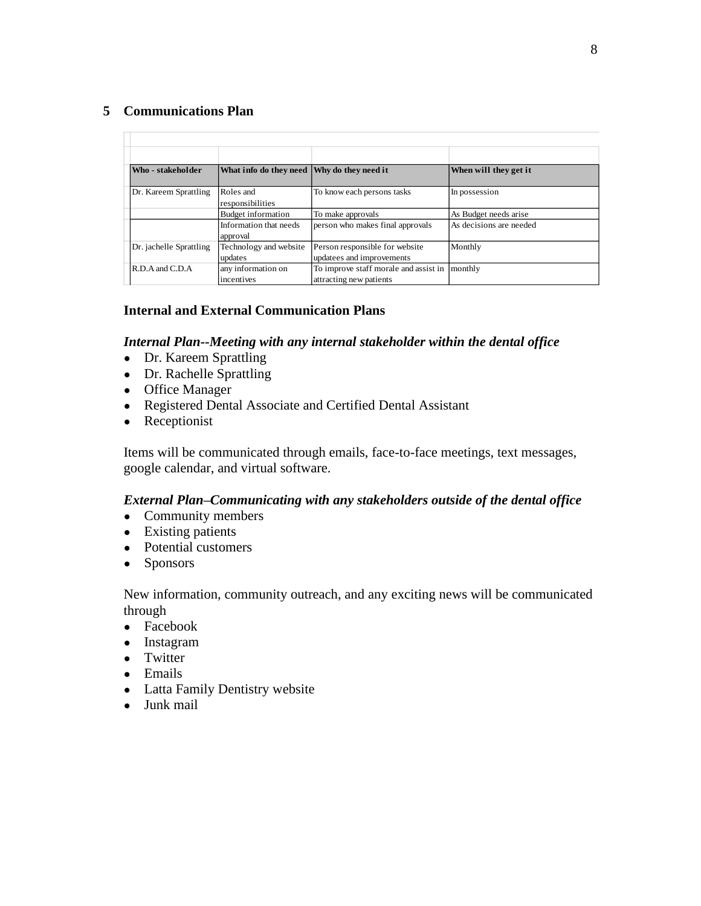#### **5 Communications Plan**

 $\Box$ 

| Who - stakeholder       | What info do they need Why do they need it |                                                                  | When will they get it   |
|-------------------------|--------------------------------------------|------------------------------------------------------------------|-------------------------|
| Dr. Kareem Sprattling   | Roles and<br>responsibilities              | To know each persons tasks                                       | In possession           |
|                         | <b>Budget information</b>                  | To make approvals                                                | As Budget needs arise   |
|                         | Information that needs<br>approval         | person who makes final approvals                                 | As decisions are needed |
| Dr. jachelle Sprattling | Technology and website<br>updates          | Person responsible for website<br>updatees and improvements      | Monthly                 |
| $R.D.A$ and $C.D.A$     | any information on<br>incentives           | To improve staff morale and assist in<br>attracting new patients | monthly                 |

#### **Internal and External Communication Plans**

#### *Internal Plan--Meeting with any internal stakeholder within the dental office*

- Dr. Kareem Sprattling
- Dr. Rachelle Sprattling
- Office Manager
- Registered Dental Associate and Certified Dental Assistant
- Receptionist

Items will be communicated through emails, face-to-face meetings, text messages, google calendar, and virtual software.

#### *External Plan–Communicating with any stakeholders outside of the dental office*

- Community members
- Existing patients
- Potential customers
- Sponsors

New information, community outreach, and any exciting news will be communicated through

- Facebook
- Instagram
- Twitter
- Emails
- Latta Family Dentistry website
- Junk mail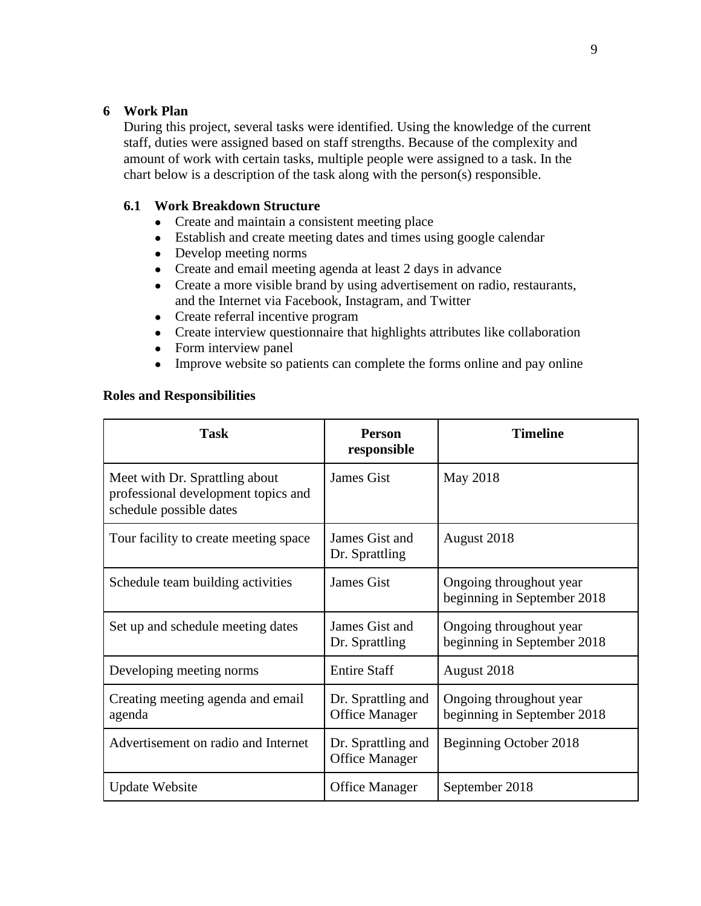#### **6 Work Plan**

During this project, several tasks were identified. Using the knowledge of the current staff, duties were assigned based on staff strengths. Because of the complexity and amount of work with certain tasks, multiple people were assigned to a task. In the chart below is a description of the task along with the person(s) responsible.

#### **6.1 Work Breakdown Structure**

- Create and maintain a consistent meeting place
- Establish and create meeting dates and times using google calendar
- Develop meeting norms
- Create and email meeting agenda at least 2 days in advance
- Create a more visible brand by using advertisement on radio, restaurants, and the Internet via Facebook, Instagram, and Twitter
- Create referral incentive program
- Create interview questionnaire that highlights attributes like collaboration
- Form interview panel
- Improve website so patients can complete the forms online and pay online

#### **Roles and Responsibilities**

| <b>Task</b>                                                                                      | <b>Person</b><br>responsible                | <b>Timeline</b>                                        |
|--------------------------------------------------------------------------------------------------|---------------------------------------------|--------------------------------------------------------|
| Meet with Dr. Sprattling about<br>professional development topics and<br>schedule possible dates | James Gist                                  | May 2018                                               |
| Tour facility to create meeting space                                                            | James Gist and<br>Dr. Sprattling            | August 2018                                            |
| Schedule team building activities                                                                | James Gist                                  | Ongoing throughout year<br>beginning in September 2018 |
| Set up and schedule meeting dates                                                                | James Gist and<br>Dr. Sprattling            | Ongoing throughout year<br>beginning in September 2018 |
| Developing meeting norms                                                                         | <b>Entire Staff</b>                         | August 2018                                            |
| Creating meeting agenda and email<br>agenda                                                      | Dr. Sprattling and<br><b>Office Manager</b> | Ongoing throughout year<br>beginning in September 2018 |
| Advertisement on radio and Internet                                                              | Dr. Sprattling and<br><b>Office Manager</b> | Beginning October 2018                                 |
| <b>Update Website</b>                                                                            | <b>Office Manager</b>                       | September 2018                                         |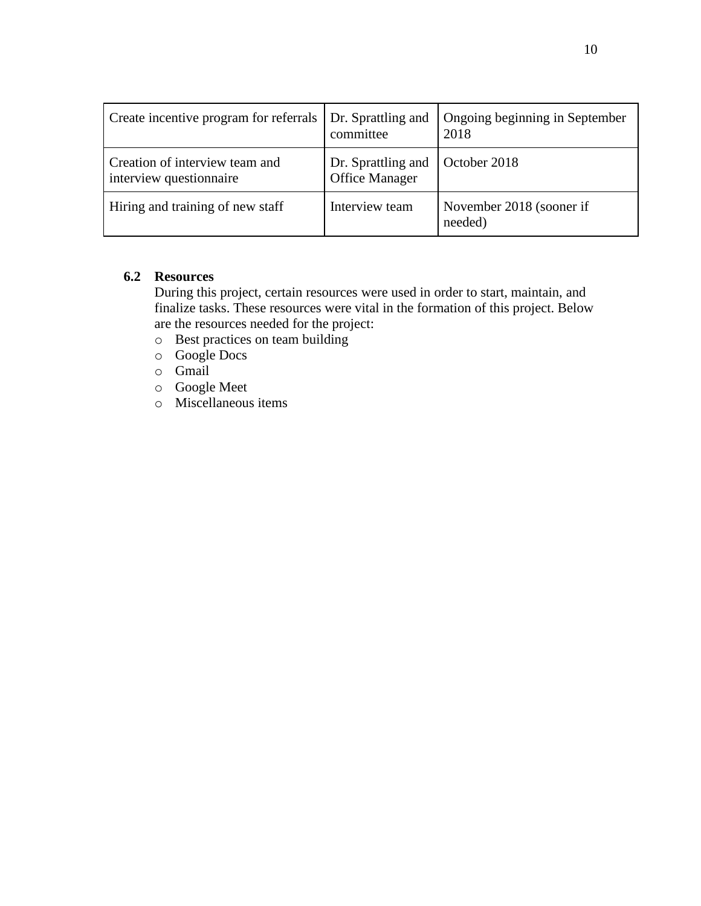| Create incentive program for referrals                    | Dr. Sprattling and<br>committee             | Ongoing beginning in September<br>2018 |
|-----------------------------------------------------------|---------------------------------------------|----------------------------------------|
| Creation of interview team and<br>interview questionnaire | Dr. Sprattling and<br><b>Office Manager</b> | October 2018                           |
| Hiring and training of new staff                          | Interview team                              | November 2018 (sooner if<br>needed)    |

#### **6.2 Resources**

During this project, certain resources were used in order to start, maintain, and finalize tasks. These resources were vital in the formation of this project. Below are the resources needed for the project:

- o Best practices on team building
- o Google Docs
- o Gmail
- o Google Meet
- o Miscellaneous items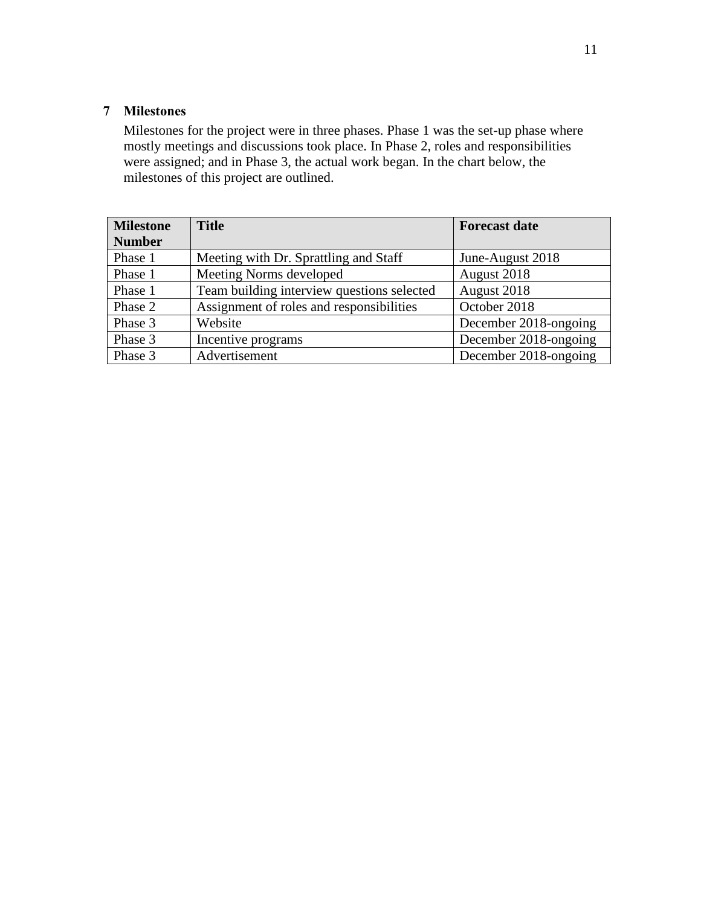#### **7 Milestones**

Milestones for the project were in three phases. Phase 1 was the set-up phase where mostly meetings and discussions took place. In Phase 2, roles and responsibilities were assigned; and in Phase 3, the actual work began. In the chart below, the milestones of this project are outlined.

| <b>Milestone</b> | <b>Title</b>                               | <b>Forecast date</b>  |
|------------------|--------------------------------------------|-----------------------|
| <b>Number</b>    |                                            |                       |
| Phase 1          | Meeting with Dr. Sprattling and Staff      | June-August 2018      |
| Phase 1          | Meeting Norms developed                    | August 2018           |
| Phase 1          | Team building interview questions selected | August 2018           |
| Phase 2          | Assignment of roles and responsibilities   | October 2018          |
| Phase 3          | Website                                    | December 2018-ongoing |
| Phase 3          | Incentive programs                         | December 2018-ongoing |
| Phase 3          | Advertisement                              | December 2018-ongoing |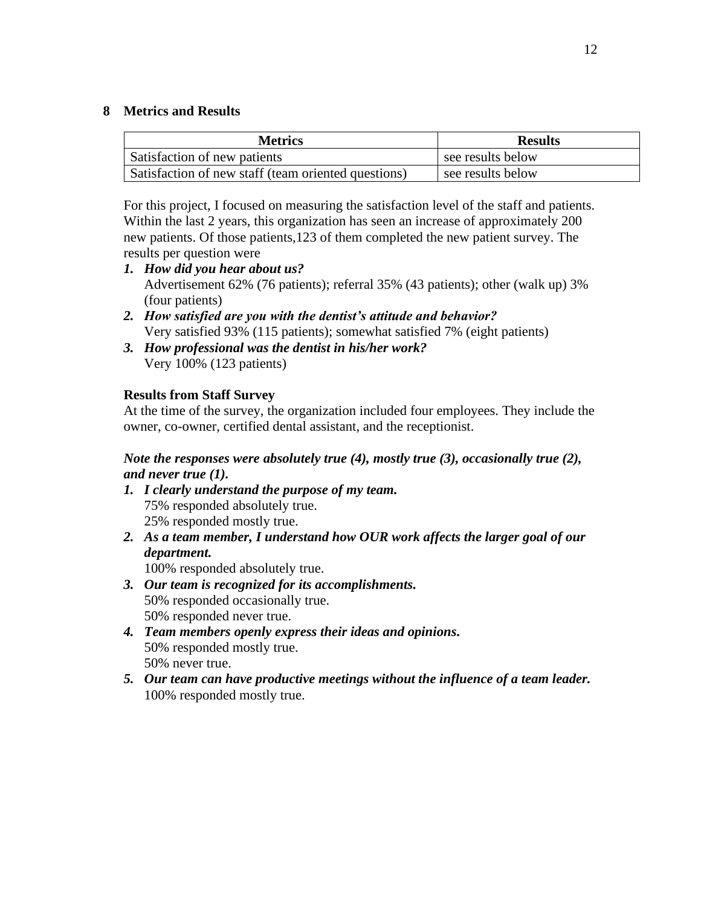#### **8 Metrics and Results**

| <b>Metrics</b>                                      | <b>Results</b>    |
|-----------------------------------------------------|-------------------|
| Satisfaction of new patients                        | see results below |
| Satisfaction of new staff (team oriented questions) | see results below |

For this project, I focused on measuring the satisfaction level of the staff and patients. Within the last 2 years, this organization has seen an increase of approximately 200 new patients. Of those patients,123 of them completed the new patient survey. The results per question were

- *1. How did you hear about us?* Advertisement 62% (76 patients); referral 35% (43 patients); other (walk up) 3% (four patients)
- *2. How satisfied are you with the dentist's attitude and behavior?* Very satisfied 93% (115 patients); somewhat satisfied 7% (eight patients)
- *3. How professional was the dentist in his/her work?* Very 100% (123 patients)

#### **Results from Staff Survey**

At the time of the survey, the organization included four employees. They include the owner, co-owner, certified dental assistant, and the receptionist.

#### *Note the responses were absolutely true (4), mostly true (3), occasionally true (2), and never true (1).*

- *1. I clearly understand the purpose of my team.* 75% responded absolutely true. 25% responded mostly true.
- *2. As a team member, I understand how OUR work affects the larger goal of our department.*

100% responded absolutely true.

- *3. Our team is recognized for its accomplishments.* 50% responded occasionally true. 50% responded never true.
- *4. Team members openly express their ideas and opinions.* 50% responded mostly true. 50% never true.
- *5. Our team can have productive meetings without the influence of a team leader.* 100% responded mostly true.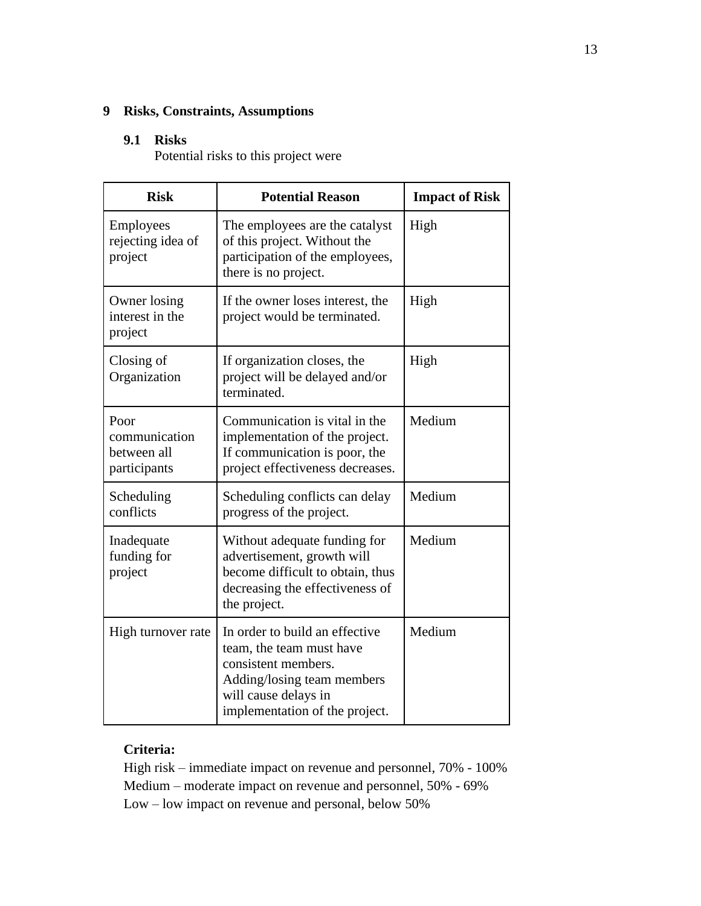#### **9 Risks, Constraints, Assumptions**

#### **9.1 Risks**

Potential risks to this project were

| <b>Risk</b>                                          | <b>Potential Reason</b>                                                                                                                                                   | <b>Impact of Risk</b> |
|------------------------------------------------------|---------------------------------------------------------------------------------------------------------------------------------------------------------------------------|-----------------------|
| Employees<br>rejecting idea of<br>project            | The employees are the catalyst<br>of this project. Without the<br>participation of the employees,<br>there is no project.                                                 | High                  |
| Owner losing<br>interest in the<br>project           | If the owner loses interest, the<br>project would be terminated.                                                                                                          | High                  |
| Closing of<br>Organization                           | If organization closes, the<br>project will be delayed and/or<br>terminated.                                                                                              | High                  |
| Poor<br>communication<br>between all<br>participants | Communication is vital in the<br>implementation of the project.<br>If communication is poor, the<br>project effectiveness decreases.                                      | Medium                |
| Scheduling<br>conflicts                              | Scheduling conflicts can delay<br>progress of the project.                                                                                                                | Medium                |
| Inadequate<br>funding for<br>project                 | Without adequate funding for<br>advertisement, growth will<br>become difficult to obtain, thus<br>decreasing the effectiveness of<br>the project.                         | Medium                |
| High turnover rate                                   | In order to build an effective<br>team, the team must have<br>consistent members.<br>Adding/losing team members<br>will cause delays in<br>implementation of the project. | Medium                |

#### **Criteria:**

High risk – immediate impact on revenue and personnel, 70% - 100% Medium – moderate impact on revenue and personnel, 50% - 69% Low – low impact on revenue and personal, below 50%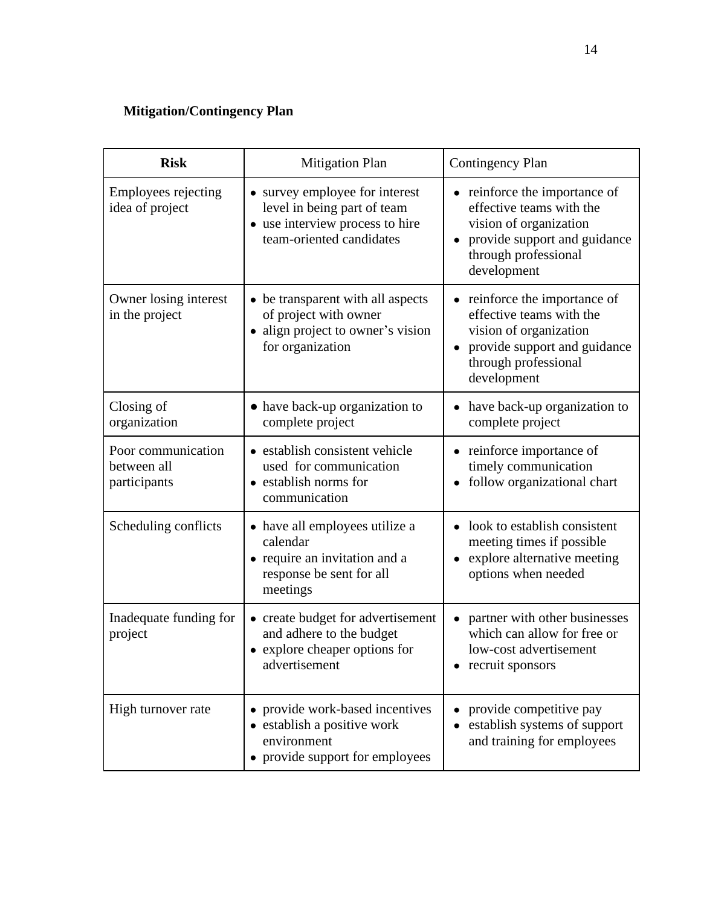## **Mitigation/Contingency Plan**

| <b>Risk</b>                                       | <b>Mitigation Plan</b>                                                                                                       | <b>Contingency Plan</b>                                                                                                                                  |
|---------------------------------------------------|------------------------------------------------------------------------------------------------------------------------------|----------------------------------------------------------------------------------------------------------------------------------------------------------|
| Employees rejecting<br>idea of project            | • survey employee for interest<br>level in being part of team<br>• use interview process to hire<br>team-oriented candidates | reinforce the importance of<br>effective teams with the<br>vision of organization<br>provide support and guidance<br>through professional<br>development |
| Owner losing interest<br>in the project           | • be transparent with all aspects<br>of project with owner<br>• align project to owner's vision<br>for organization          | reinforce the importance of<br>effective teams with the<br>vision of organization<br>provide support and guidance<br>through professional<br>development |
| Closing of<br>organization                        | • have back-up organization to<br>complete project                                                                           | have back-up organization to<br>complete project                                                                                                         |
| Poor communication<br>between all<br>participants | • establish consistent vehicle<br>used for communication<br>• establish norms for<br>communication                           | • reinforce importance of<br>timely communication<br>follow organizational chart                                                                         |
| Scheduling conflicts                              | • have all employees utilize a<br>calendar<br>• require an invitation and a<br>response be sent for all<br>meetings          | look to establish consistent<br>meeting times if possible<br>explore alternative meeting<br>options when needed                                          |
| Inadequate funding for<br>project                 | • create budget for advertisement<br>and adhere to the budget<br>• explore cheaper options for<br>advertisement              | partner with other businesses<br>which can allow for free or<br>low-cost advertisement<br>recruit sponsors                                               |
| High turnover rate                                | provide work-based incentives<br>establish a positive work<br>environment<br>• provide support for employees                 | provide competitive pay<br>establish systems of support<br>and training for employees                                                                    |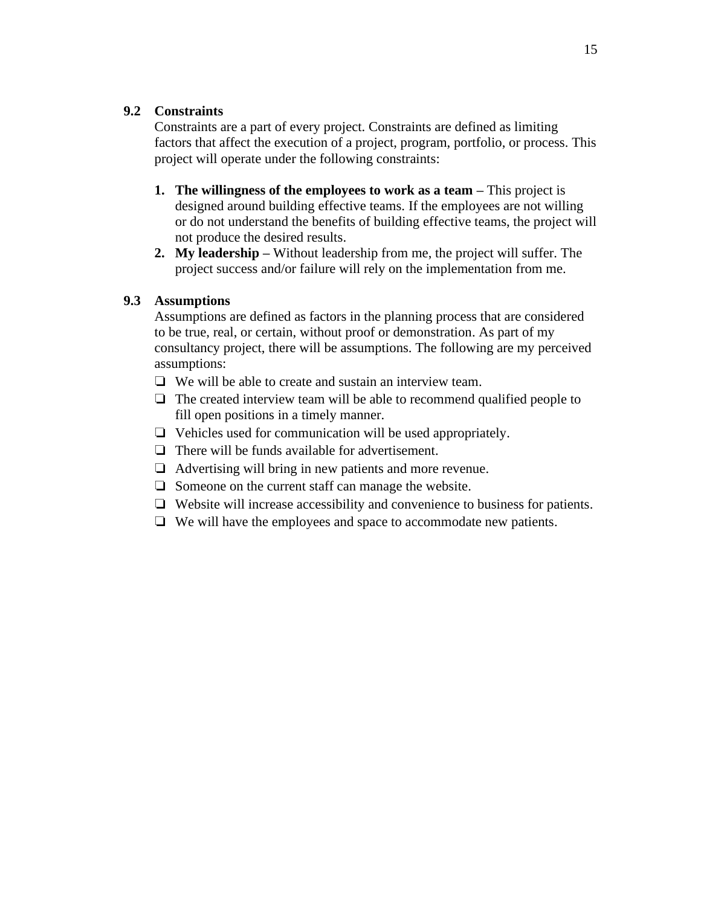#### **9.2 Constraints**

Constraints are a part of every project. Constraints are defined as limiting factors that affect the execution of a project, program, portfolio, or process. This project will operate under the following constraints:

- **1. The willingness of the employees to work as a team –** This project is designed around building effective teams. If the employees are not willing or do not understand the benefits of building effective teams, the project will not produce the desired results.
- **2. My leadership –** Without leadership from me, the project will suffer. The project success and/or failure will rely on the implementation from me.

#### **9.3 Assumptions**

Assumptions are defined as factors in the planning process that are considered to be true, real, or certain, without proof or demonstration. As part of my consultancy project, there will be assumptions. The following are my perceived assumptions:

- ❏ We will be able to create and sustain an interview team.
- ❏ The created interview team will be able to recommend qualified people to fill open positions in a timely manner.
- ❏ Vehicles used for communication will be used appropriately.
- ❏ There will be funds available for advertisement.
- ❏ Advertising will bring in new patients and more revenue.
- ❏ Someone on the current staff can manage the website.
- ❏ Website will increase accessibility and convenience to business for patients.
- ❏ We will have the employees and space to accommodate new patients.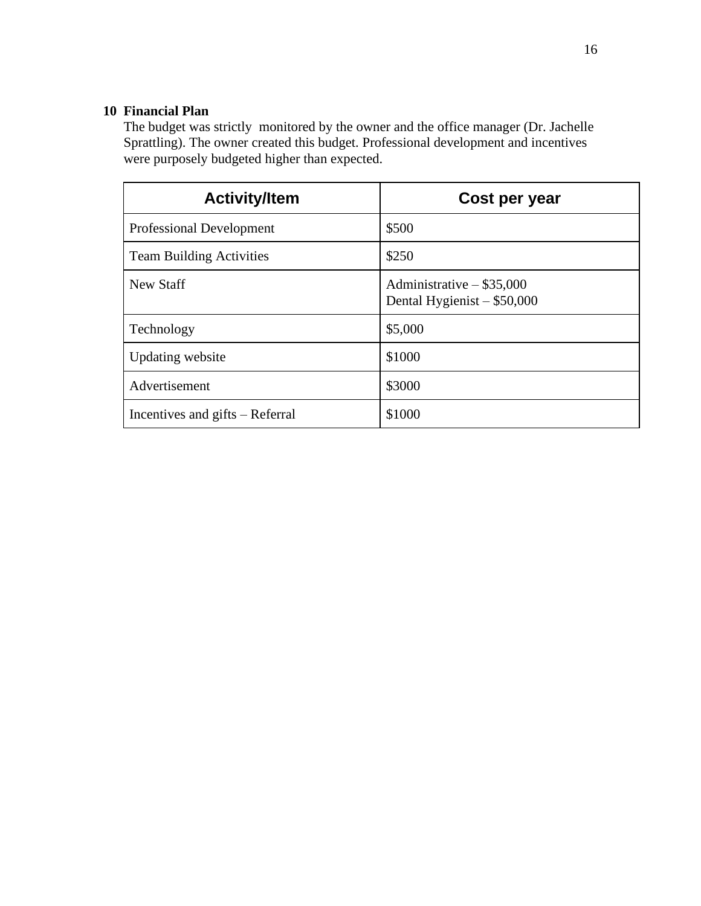#### **10 Financial Plan**

The budget was strictly monitored by the owner and the office manager (Dr. Jachelle Sprattling). The owner created this budget. Professional development and incentives were purposely budgeted higher than expected.

| <b>Activity/Item</b>            | Cost per year                                                |
|---------------------------------|--------------------------------------------------------------|
| <b>Professional Development</b> | \$500                                                        |
| <b>Team Building Activities</b> | \$250                                                        |
| New Staff                       | Administrative $-$ \$35,000<br>Dental Hygienist $-$ \$50,000 |
| Technology                      | \$5,000                                                      |
| <b>Updating website</b>         | \$1000                                                       |
| Advertisement                   | \$3000                                                       |
| Incentives and gifts – Referral | \$1000                                                       |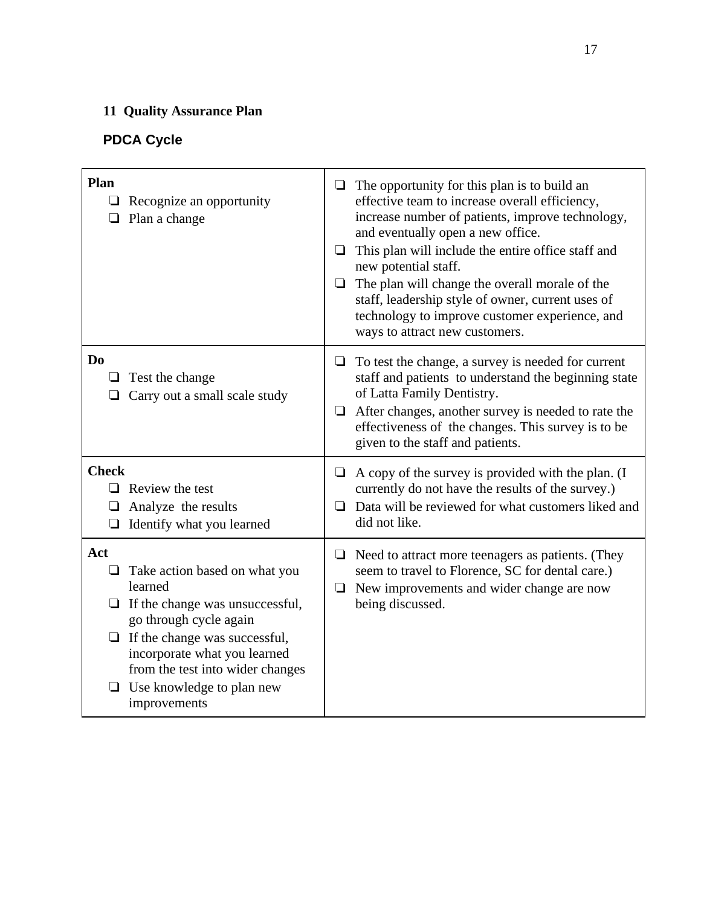## **11 Quality Assurance Plan**

## **PDCA Cycle**

| Plan<br>$\Box$ Recognize an opportunity<br>Plan a change                                                                                                                                                                                                                        | The opportunity for this plan is to build an<br>⊔<br>effective team to increase overall efficiency,<br>increase number of patients, improve technology,<br>and eventually open a new office.<br>This plan will include the entire office staff and<br>❏<br>new potential staff.<br>The plan will change the overall morale of the<br>❏<br>staff, leadership style of owner, current uses of<br>technology to improve customer experience, and<br>ways to attract new customers. |
|---------------------------------------------------------------------------------------------------------------------------------------------------------------------------------------------------------------------------------------------------------------------------------|---------------------------------------------------------------------------------------------------------------------------------------------------------------------------------------------------------------------------------------------------------------------------------------------------------------------------------------------------------------------------------------------------------------------------------------------------------------------------------|
| D <sub>0</sub><br>$\Box$ Test the change<br>Carry out a small scale study                                                                                                                                                                                                       | To test the change, a survey is needed for current<br>❏<br>staff and patients to understand the beginning state<br>of Latta Family Dentistry.<br>After changes, another survey is needed to rate the<br>⊔<br>effectiveness of the changes. This survey is to be<br>given to the staff and patients.                                                                                                                                                                             |
| <b>Check</b><br>$\Box$ Review the test<br>Analyze the results<br>$\Box$<br>$\Box$ Identify what you learned                                                                                                                                                                     | $\Box$ A copy of the survey is provided with the plan. (I<br>currently do not have the results of the survey.)<br>$\Box$ Data will be reviewed for what customers liked and<br>did not like.                                                                                                                                                                                                                                                                                    |
| Act<br>Take action based on what you<br>⊔<br>learned<br>If the change was unsuccessful,<br>ப<br>go through cycle again<br>$\Box$ If the change was successful,<br>incorporate what you learned<br>from the test into wider changes<br>Use knowledge to plan new<br>improvements | $\Box$ Need to attract more teenagers as patients. (They<br>seem to travel to Florence, SC for dental care.)<br>New improvements and wider change are now<br>$\Box$<br>being discussed.                                                                                                                                                                                                                                                                                         |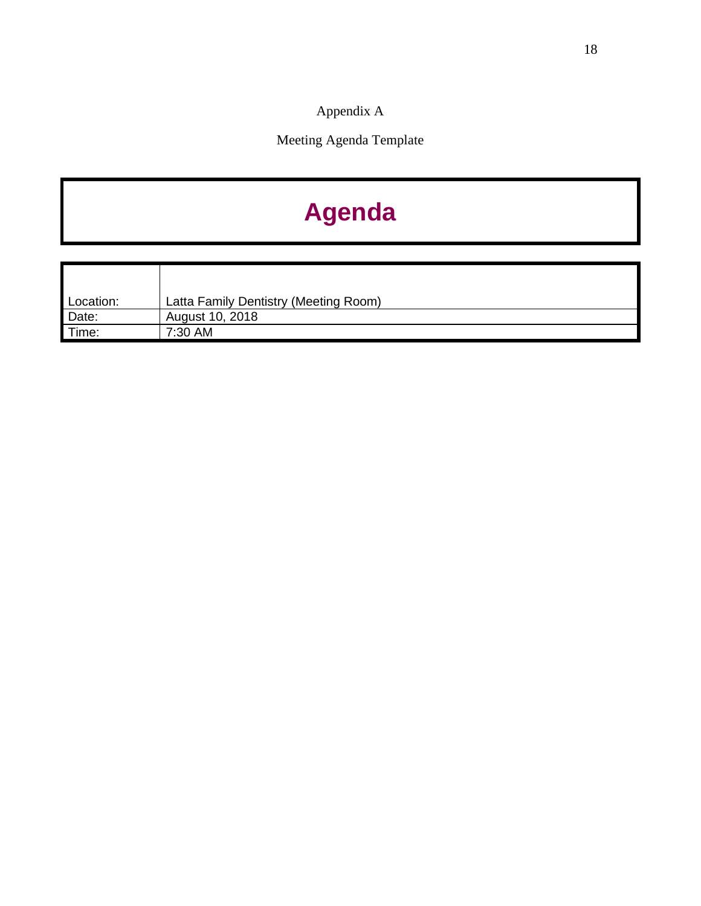Appendix A

Meeting Agenda Template

## **Agenda**

| Location: | Latta Family Dentistry (Meeting Room) |
|-----------|---------------------------------------|
| Date:     | August 10, 2018                       |
| Time:     | 7:30 AM                               |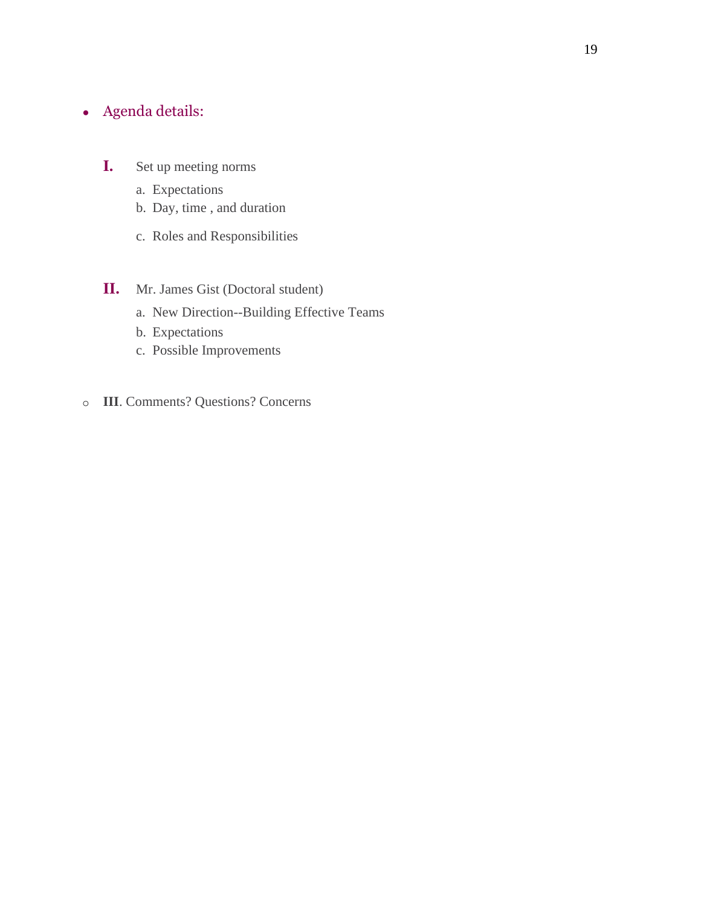## $\bullet$  Agenda details:

- **I.** Set up meeting norms
	- a. Expectations
	- b. Day, time , and duration
	- c. Roles and Responsibilities

#### **II.** Mr. James Gist (Doctoral student)

- a. New Direction--Building Effective Teams
- b. Expectations
- c. Possible Improvements
- o **III**. Comments? Questions? Concerns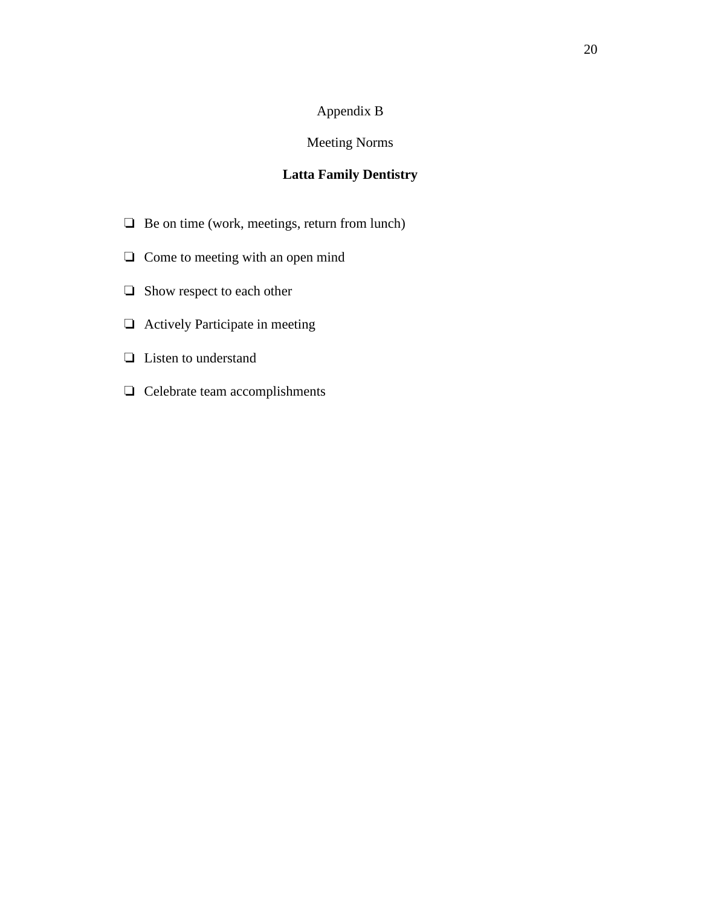#### Appendix B

#### Meeting Norms

#### **Latta Family Dentistry**

- ❏ Be on time (work, meetings, return from lunch)
- ❏ Come to meeting with an open mind
- ❏ Show respect to each other
- ❏ Actively Participate in meeting
- ❏ Listen to understand
- ❏ Celebrate team accomplishments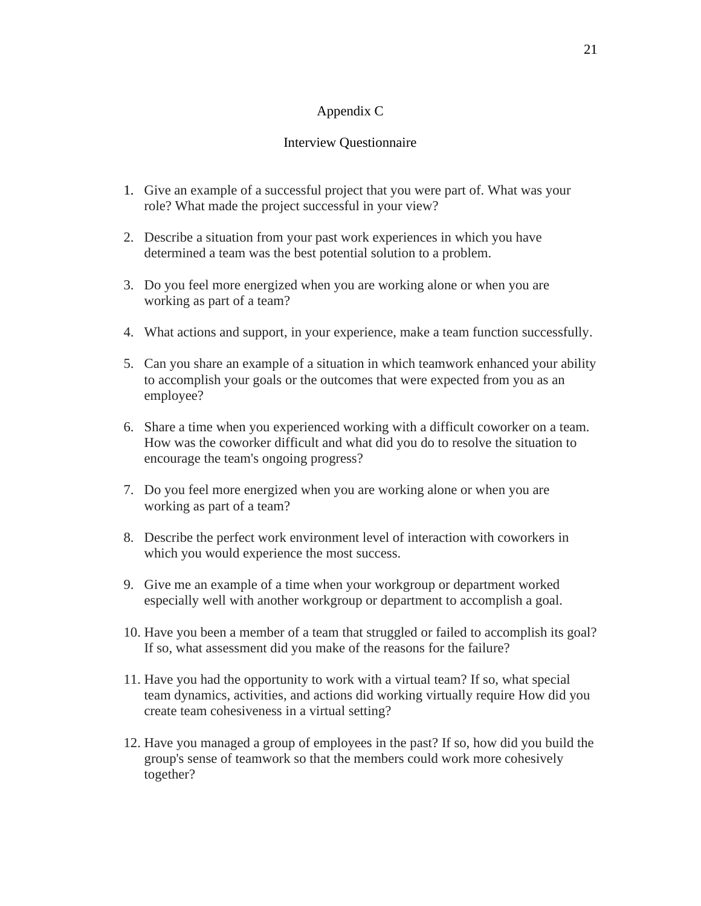#### Appendix C

#### Interview Questionnaire

- 1. Give an example of a successful project that you were part of. What was your role? What made the project successful in your view?
- 2. Describe a situation from your past work experiences in which you have determined a team was the best potential solution to a problem.
- 3. Do you feel more energized when you are working alone or when you are working as part of a team?
- 4. What actions and support, in your experience, make a team function successfully.
- 5. Can you share an example of a situation in which teamwork enhanced your ability to accomplish your goals or the outcomes that were expected from you as an employee?
- 6. Share a time when you experienced working with a difficult coworker on a team. How was the coworker difficult and what did you do to resolve the situation to encourage the team's ongoing progress?
- 7. Do you feel more energized when you are working alone or when you are working as part of a team?
- 8. Describe the perfect work environment level of interaction with coworkers in which you would experience the most success.
- 9. Give me an example of a time when your workgroup or department worked especially well with another workgroup or department to accomplish a goal.
- 10. Have you been a member of a team that struggled or failed to accomplish its goal? If so, what assessment did you make of the reasons for the failure?
- 11. Have you had the opportunity to work with a virtual team? If so, what special team dynamics, activities, and actions did working virtually require How did you create team cohesiveness in a virtual setting?
- 12. Have you managed a group of employees in the past? If so, how did you build the group's sense of teamwork so that the members could work more cohesively together?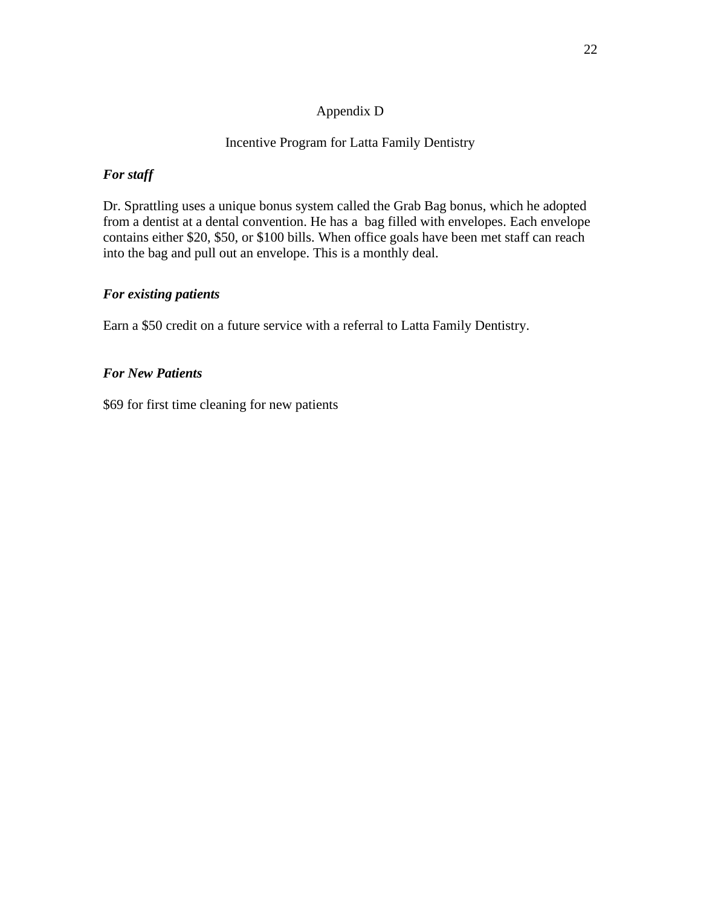#### Appendix D

#### Incentive Program for Latta Family Dentistry

#### *For staff*

Dr. Sprattling uses a unique bonus system called the Grab Bag bonus, which he adopted from a dentist at a dental convention. He has a bag filled with envelopes. Each envelope contains either \$20, \$50, or \$100 bills. When office goals have been met staff can reach into the bag and pull out an envelope. This is a monthly deal.

#### *For existing patients*

Earn a \$50 credit on a future service with a referral to Latta Family Dentistry.

#### *For New Patients*

\$69 for first time cleaning for new patients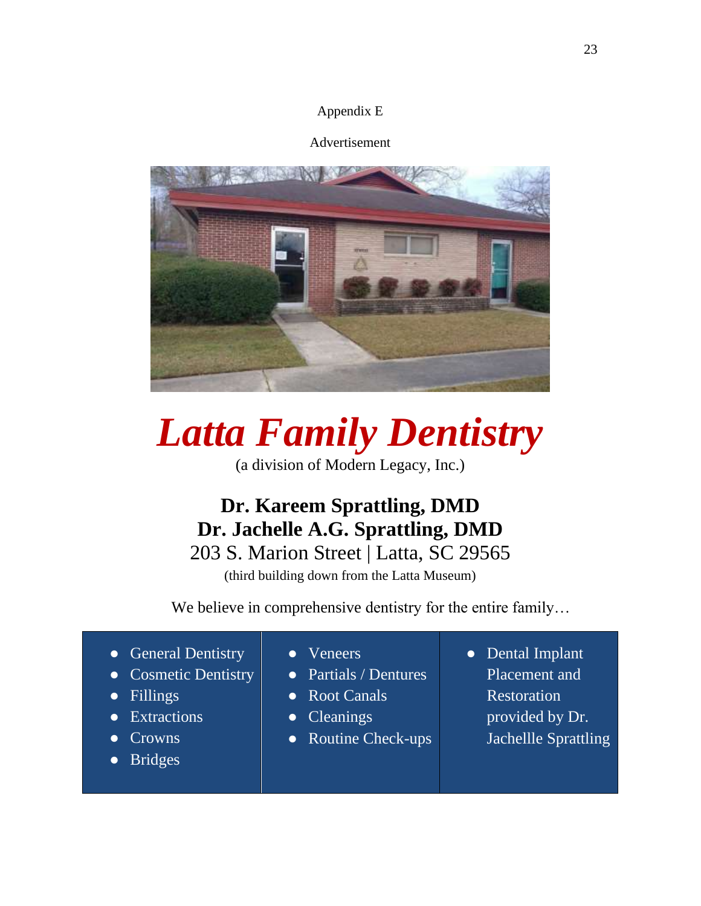#### Appendix E

#### Advertisement



# *Latta Family Dentistry*

(a division of Modern Legacy, Inc.)

## **Dr. Kareem Sprattling, DMD Dr. Jachelle A.G. Sprattling, DMD** 203 S. Marion Street | Latta, SC 29565

(third building down from the Latta Museum)

We believe in comprehensive dentistry for the entire family...

- General Dentistry ● Cosmetic Dentistry ● Fillings **Extractions Crowns** ● Veneers ● Partials / Dentures ● Root Canals ● Cleanings
	- Bridges
- 
- Routine Check-ups
- Dental Implant Placement and Restoration provided by Dr. Jachellle Sprattling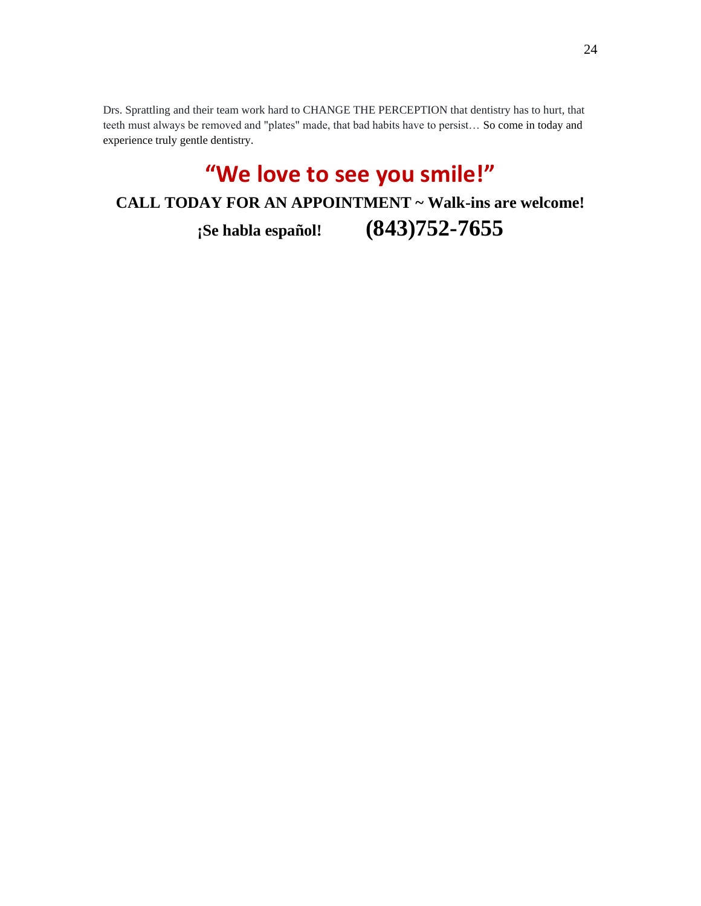Drs. Sprattling and their team work hard to CHANGE THE PERCEPTION that dentistry has to hurt, that teeth must always be removed and "plates" made, that bad habits have to persist… So come in today and experience truly gentle dentistry.

## **"We love to see you smile!"**

**CALL TODAY FOR AN APPOINTMENT ~ Walk-ins are welcome!**

**¡Se habla español! (843)752-7655**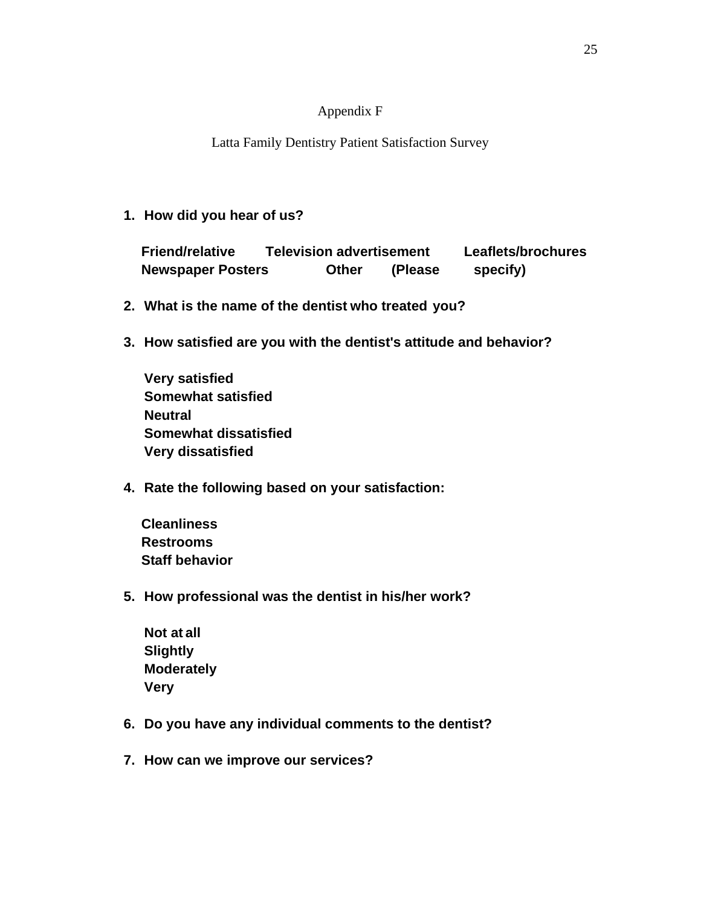#### Appendix F

Latta Family Dentistry Patient Satisfaction Survey

**1. How did you hear of us?**

 **Friend/relative Television advertisement Leaflets/brochures Newspaper Posters Other (Please specify)**

- **2. What is the name of the dentist who treated you?**
- **3. How satisfied are you with the dentist's attitude and behavior?**

**Very satisfied Somewhat satisfied Neutral Somewhat dissatisfied Very dissatisfied**

**4. Rate the following based on your satisfaction:**

 **Cleanliness Restrooms Staff behavior**

**5. How professional was the dentist in his/her work?** 

**Not at all Slightly Moderately Very**

- **6. Do you have any individual comments to the dentist?**
- **7. How can we improve our services?**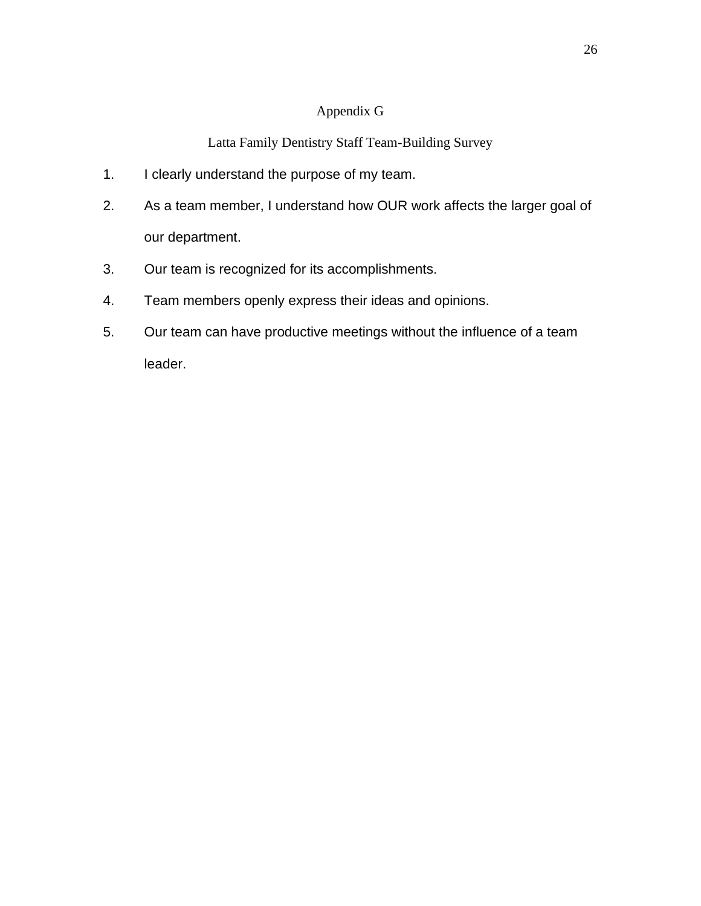#### Appendix G

#### Latta Family Dentistry Staff Team-Building Survey

- 1. I clearly understand the purpose of my team.
- 2. As a team member, I understand how OUR work affects the larger goal of our department.
- 3. Our team is recognized for its accomplishments.
- 4. Team members openly express their ideas and opinions.
- 5. Our team can have productive meetings without the influence of a team leader.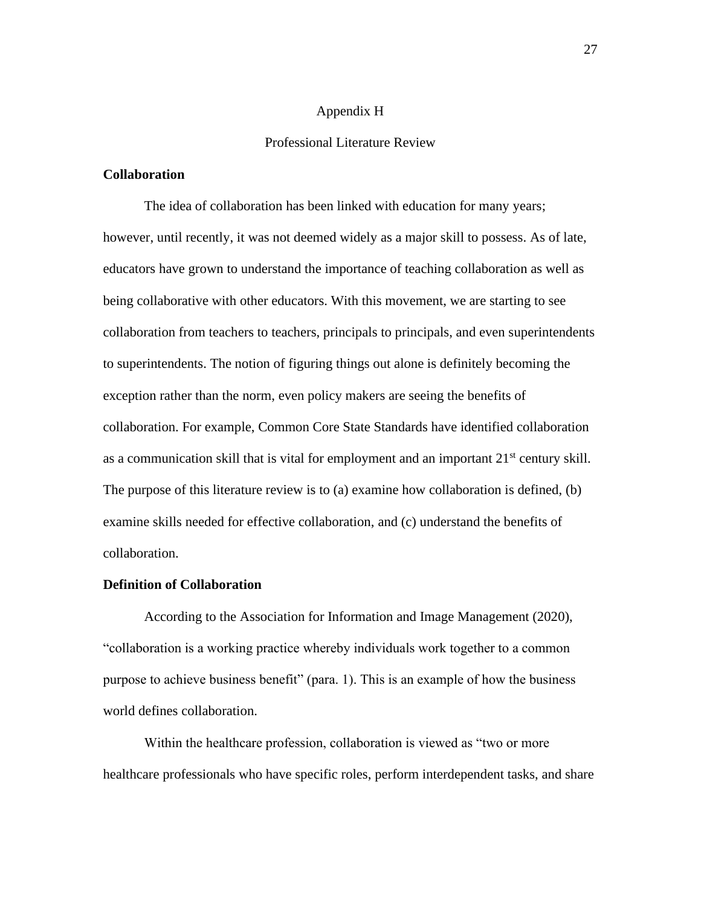#### Appendix H

#### Professional Literature Review

#### **Collaboration**

The idea of collaboration has been linked with education for many years; however, until recently, it was not deemed widely as a major skill to possess. As of late, educators have grown to understand the importance of teaching collaboration as well as being collaborative with other educators. With this movement, we are starting to see collaboration from teachers to teachers, principals to principals, and even superintendents to superintendents. The notion of figuring things out alone is definitely becoming the exception rather than the norm, even policy makers are seeing the benefits of collaboration. For example, Common Core State Standards have identified collaboration as a communication skill that is vital for employment and an important  $21<sup>st</sup>$  century skill. The purpose of this literature review is to (a) examine how collaboration is defined, (b) examine skills needed for effective collaboration, and (c) understand the benefits of collaboration.

#### **Definition of Collaboration**

According to the Association for Information and Image Management (2020), "collaboration is a working practice whereby individuals work together to a common purpose to achieve business benefit" (para. 1). This is an example of how the business world defines collaboration.

Within the healthcare profession, collaboration is viewed as "two or more healthcare professionals who have specific roles, perform interdependent tasks, and share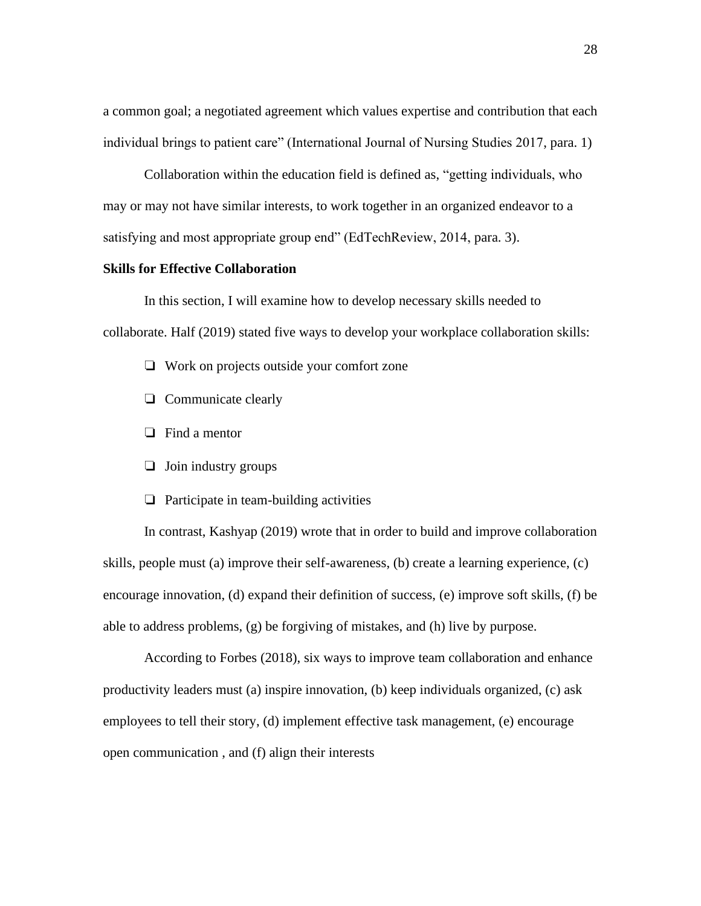a common goal; a negotiated agreement which values expertise and contribution that each individual brings to patient care" (International Journal of Nursing Studies 2017, para. 1)

Collaboration within the education field is defined as, "getting individuals, who may or may not have similar interests, to work together in an organized endeavor to a satisfying and most appropriate group end" (EdTechReview, 2014, para. 3).

#### **Skills for Effective Collaboration**

In this section, I will examine how to develop necessary skills needed to collaborate. Half (2019) stated five ways to develop your workplace collaboration skills:

- ❏ Work on projects outside your comfort zone
- ❏ Communicate clearly
- ❏ Find a mentor
- ❏ Join industry groups
- ❏ Participate in team-building activities

In contrast, Kashyap (2019) wrote that in order to build and improve collaboration skills, people must (a) improve their self-awareness, (b) create a learning experience, (c) encourage innovation, (d) expand their definition of success, (e) improve soft skills, (f) be able to address problems, (g) be forgiving of mistakes, and (h) live by purpose.

According to Forbes (2018), six ways to improve team collaboration and enhance productivity leaders must (a) inspire innovation, (b) keep individuals organized, (c) ask employees to tell their story, (d) implement effective task management, (e) encourage open communication , and (f) align their interests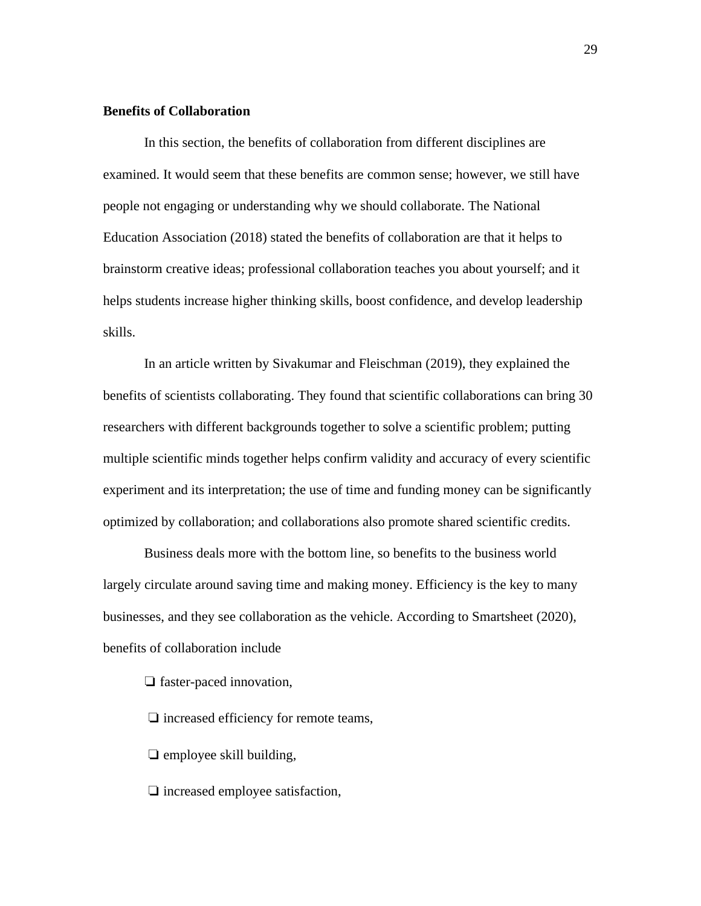#### **Benefits of Collaboration**

In this section, the benefits of collaboration from different disciplines are examined. It would seem that these benefits are common sense; however, we still have people not engaging or understanding why we should collaborate. The National Education Association (2018) stated the benefits of collaboration are that it helps to brainstorm creative ideas; professional collaboration teaches you about yourself; and it helps students increase higher thinking skills, boost confidence, and develop leadership skills.

In an article written by Sivakumar and Fleischman (2019), they explained the benefits of scientists collaborating. They found that scientific collaborations can bring 30 researchers with different backgrounds together to solve a scientific problem; putting multiple scientific minds together helps confirm validity and accuracy of every scientific experiment and its interpretation; the use of time and funding money can be significantly optimized by collaboration; and collaborations also promote shared scientific credits.

Business deals more with the bottom line, so benefits to the business world largely circulate around saving time and making money. Efficiency is the key to many businesses, and they see collaboration as the vehicle. According to Smartsheet (2020), benefits of collaboration include

❏ faster-paced innovation,

❏ increased efficiency for remote teams,

❏ employee skill building,

❏ increased employee satisfaction,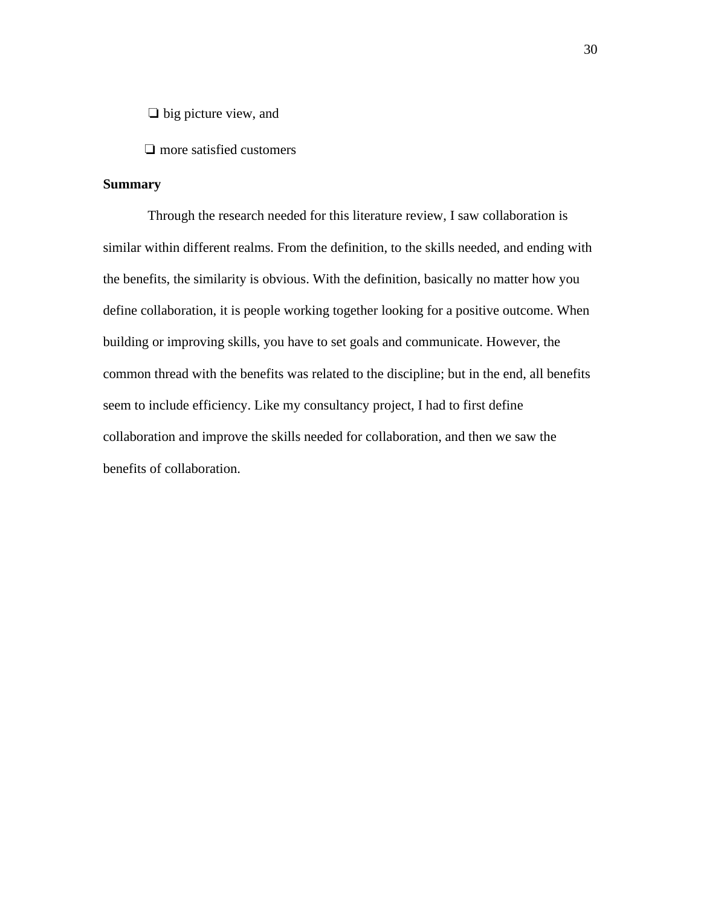❏ big picture view, and

❏ more satisfied customers

#### **Summary**

Through the research needed for this literature review, I saw collaboration is similar within different realms. From the definition, to the skills needed, and ending with the benefits, the similarity is obvious. With the definition, basically no matter how you define collaboration, it is people working together looking for a positive outcome. When building or improving skills, you have to set goals and communicate. However, the common thread with the benefits was related to the discipline; but in the end, all benefits seem to include efficiency. Like my consultancy project, I had to first define collaboration and improve the skills needed for collaboration, and then we saw the benefits of collaboration.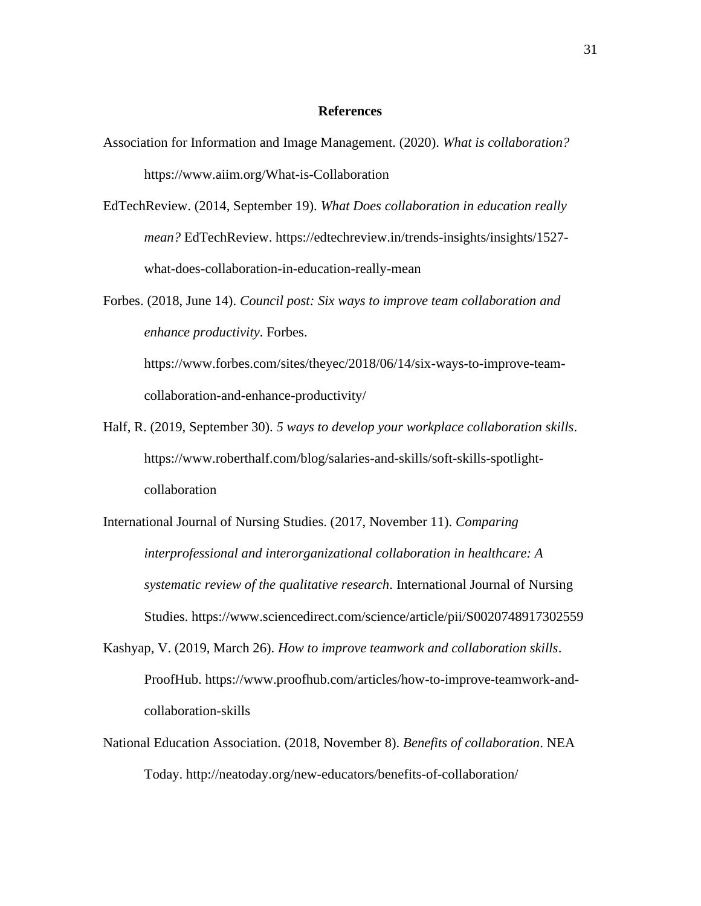#### **References**

- Association for Information and Image Management. (2020). *What is collaboration?* https://www.aiim.org/What-is-Collaboration
- EdTechReview. (2014, September 19). *What Does collaboration in education really mean?* EdTechReview. https://edtechreview.in/trends-insights/insights/1527 what-does-collaboration-in-education-really-mean
- Forbes. (2018, June 14). *Council post: Six ways to improve team collaboration and enhance productivity*. Forbes. https://www.forbes.com/sites/theyec/2018/06/14/six-ways-to-improve-teamcollaboration-and-enhance-productivity/
- Half, R. (2019, September 30). *5 ways to develop your workplace collaboration skills*. https://www.roberthalf.com/blog/salaries-and-skills/soft-skills-spotlightcollaboration
- International Journal of Nursing Studies. (2017, November 11). *Comparing interprofessional and interorganizational collaboration in healthcare: A systematic review of the qualitative research*. International Journal of Nursing Studies. https://www.sciencedirect.com/science/article/pii/S0020748917302559
- Kashyap, V. (2019, March 26). *How to improve teamwork and collaboration skills*. ProofHub. https://www.proofhub.com/articles/how-to-improve-teamwork-andcollaboration-skills
- National Education Association. (2018, November 8). *Benefits of collaboration*. NEA Today. http://neatoday.org/new-educators/benefits-of-collaboration/